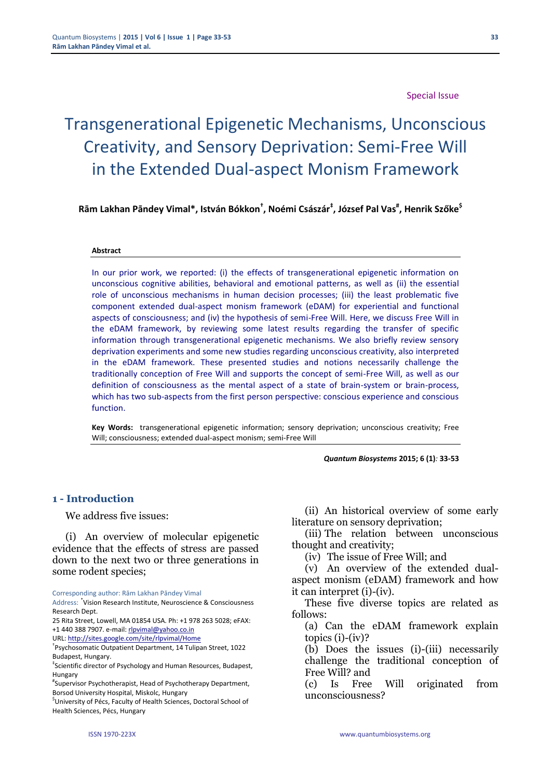#### Special Issue

# Transgenerational Epigenetic Mechanisms, Unconscious Creativity, and Sensory Deprivation: Semi-Free Will in the Extended Dual-aspect Monism Framework

**Rām Lakhan Pāndey Vimal\*, István Bókkon† , Noémi Császár‡ , József Pal Vas# , Henrik Szőke\$**

#### **Abstract**

In our prior work, we reported: (i) the effects of transgenerational epigenetic information on unconscious cognitive abilities, behavioral and emotional patterns, as well as (ii) the essential role of unconscious mechanisms in human decision processes; (iii) the least problematic five component extended dual-aspect monism framework (eDAM) for experiential and functional aspects of consciousness; and (iv) the hypothesis of semi-Free Will. Here, we discuss Free Will in the eDAM framework, by reviewing some latest results regarding the transfer of specific information through transgenerational epigenetic mechanisms. We also briefly review sensory deprivation experiments and some new studies regarding unconscious creativity, also interpreted in the eDAM framework. These presented studies and notions necessarily challenge the traditionally conception of Free Will and supports the concept of semi-Free Will, as well as our definition of consciousness as the mental aspect of a state of brain-system or brain-process, which has two sub-aspects from the first person perspective: conscious experience and conscious function.

**Key Words:** transgenerational epigenetic information; sensory deprivation; unconscious creativity; Free Will; consciousness; extended dual-aspect monism; semi-Free Will

*Quantum Biosystems* **2015; 6 (1)***:* **33-53**

#### **1 - Introduction**

We address five issues:

(i) An overview of molecular epigenetic evidence that the effects of stress are passed down to the next two or three generations in some rodent species;

Corresponding author: Rām Lakhan Pāndey Vimal

25 Rita Street, Lowell, MA 01854 USA. Ph: +1 978 263 5028; eFAX: +1 440 388 7907. e-mail: [rlpvimal@yahoo.co.in](mailto:rlpvimal@yahoo.co.in)

URL: <http://sites.google.com/site/rlpvimal/Home>

\$ University of Pécs, Faculty of Health Sciences, Doctoral School of Health Sciences, Pécs, Hungary

(ii) An historical overview of some early literature on sensory deprivation;

(iii) The relation between unconscious thought and creativity;

(iv) The issue of Free Will; and

(v) An overview of the extended dualaspect monism (eDAM) framework and how it can interpret (i)-(iv).

These five diverse topics are related as follows:

(a) Can the eDAM framework explain  $topics (i)-(iv)?$ 

(b) Does the issues (i)-(iii) necessarily challenge the traditional conception of Free Will? and

(c) Is Free Will originated from unconsciousness?

Address: \* Vision Research Institute, Neuroscience & Consciousness Research Dept.

<sup>†</sup> Psychosomatic Outpatient Department, 14 Tulipan Street, 1022 Budapest, Hungary.

<sup>‡</sup> Scientific director of Psychology and Human Resources, Budapest, Hungary

<sup>#</sup> Supervisor Psychotherapist, Head of Psychotherapy Department, Borsod University Hospital, Miskolc, Hungary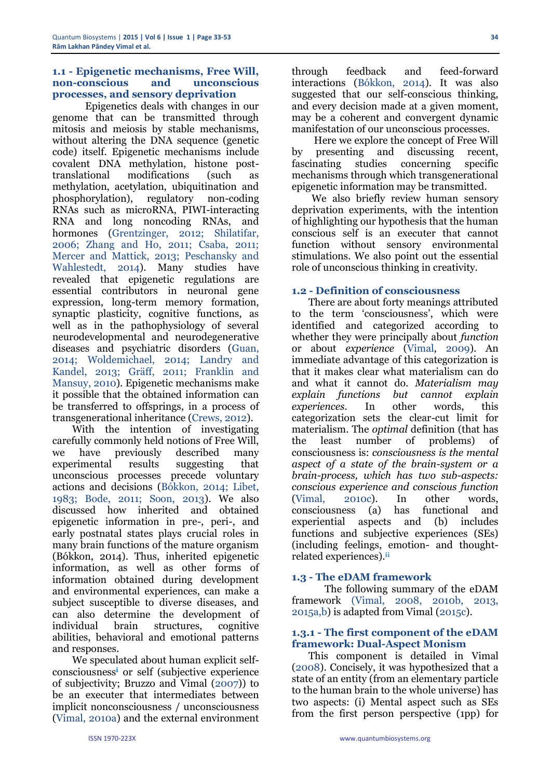#### **1.1 - Epigenetic mechanisms, Free Will, non-conscious and unconscious processes, and sensory deprivation**

Epigenetics deals with changes in our genome that can be transmitted through mitosis and meiosis by stable mechanisms, without altering the DNA sequence (genetic code) itself. Epigenetic mechanisms include covalent DNA methylation, histone posttranslational modifications (such as methylation, acetylation, ubiquitination and phosphorylation), regulatory non-coding RNAs such as microRNA, PIWI-interacting RNA and long noncoding RNAs, and hormones (Grentzinger, 2012; Shilatifar, 2006; Zhang and Ho, 2011; Csaba, 2011; Mercer and Mattick, 2013; Peschansky and Wahlestedt, 2014). Many studies have revealed that epigenetic regulations are essential contributors in neuronal gene expression, long-term memory formation, synaptic plasticity, cognitive functions, as well as in the pathophysiology of several neurodevelopmental and neurodegenerative diseases and psychiatric disorders (Guan, 2014; Woldemichael, 2014; Landry and Kandel, 2013; Gräff, 2011; Franklin and [Mansuy,](http://www.ncbi.nlm.nih.gov/pubmed?term=Mansuy%20IM%5BAuthor%5D&cauthor=true&cauthor_uid=20451368) 2010). Epigenetic mechanisms make it possible that the obtained information can be transferred to offsprings, in a process of transgenerational inheritance (Crews, 2012).

With the intention of investigating carefully commonly held notions of Free Will, we have previously described many experimental results suggesting that unconscious processes precede voluntary actions and decisions (Bókkon, 2014; Libet, 1983; Bode, 2011; Soon, 2013). We also discussed how inherited and obtained epigenetic information in pre-, peri-, and early postnatal states plays crucial roles in many brain functions of the mature organism (Bókkon, 2014). Thus, inherited epigenetic information, as well as other forms of information obtained during development and environmental experiences, can make a subject susceptible to diverse diseases, and can also determine the development of individual brain structures, cognitive abilities, behavioral and emotional patterns and responses.

We speculated about human explicit selfconsciousness**<sup>i</sup>** or self (subjective experience of subjectivity; Bruzzo and Vimal (2007)) to be an executer that intermediates between implicit nonconsciousness / unconsciousness (Vimal, 2010a) and the external environment

through feedback and feed-forward interactions (Bókkon, 2014). It was also suggested that our self-conscious thinking, and every decision made at a given moment, may be a coherent and convergent dynamic manifestation of our unconscious processes.

Here we explore the concept of Free Will by presenting and discussing recent, fascinating studies concerning specific mechanisms through which transgenerational epigenetic information may be transmitted.

We also briefly review human sensory deprivation experiments, with the intention of highlighting our hypothesis that the human conscious self is an executer that cannot function without sensory environmental stimulations. We also point out the essential role of unconscious thinking in creativity.

# **1.2 - Definition of consciousness**

There are about forty meanings attributed to the term 'consciousness', which were identified and categorized according to whether they were principally about *function* or about *experience* (Vimal, 2009). An immediate advantage of this categorization is that it makes clear what materialism can do and what it cannot do. *Materialism may explain functions but cannot explain experiences.* In other words, this categorization sets the clear-cut limit for materialism. The *optimal* definition (that has the least number of problems) of consciousness is: *consciousness is the mental aspect of a state of the brain-system or a brain-process, which has two sub-aspects: conscious experience and conscious function* (Vimal, 2010c). In other words, consciousness (a) has functional and experiential aspects and (b) includes functions and subjective experiences (SEs) (including feelings, emotion- and thoughtrelated experiences).**ii**

# **1.3 - The eDAM framework**

The following summary of the eDAM framework (Vimal, 2008, 2010b, 2013, 2015a,b) is adapted from Vimal (2015c).

#### **1.3.1 - The first component of the eDAM framework: Dual-Aspect Monism**

This component is detailed in Vimal (2008). Concisely, it was hypothesized that a state of an entity (from an elementary particle to the human brain to the whole universe) has two aspects: (i) Mental aspect such as SEs from the first person perspective (1pp) for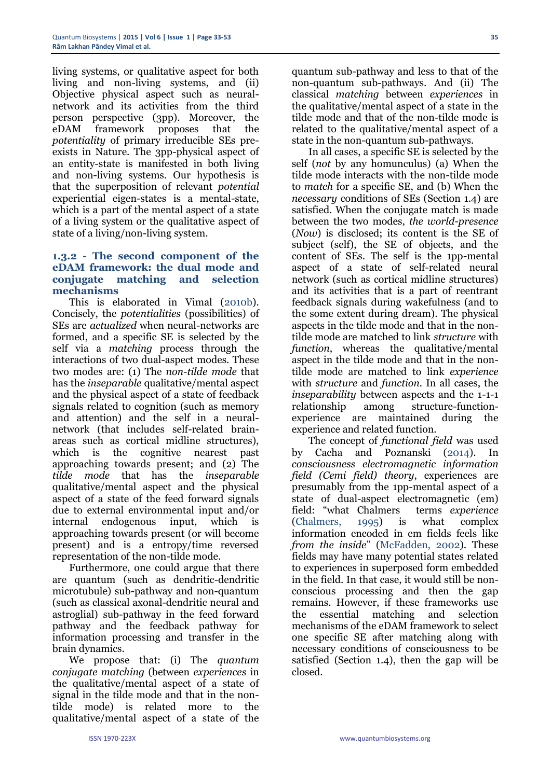living systems, or qualitative aspect for both living and non-living systems, and (ii) Objective physical aspect such as neuralnetwork and its activities from the third person perspective (3pp). Moreover, the eDAM framework proposes that the *potentiality* of primary irreducible SEs preexists in Nature. The 3pp-physical aspect of an entity-state is manifested in both living and non-living systems. Our hypothesis is that the superposition of relevant *potential* experiential eigen-states is a mental-state, which is a part of the mental aspect of a state of a living system or the qualitative aspect of state of a living/non-living system.

#### **1.3.2 - The second component of the eDAM framework: the dual mode and conjugate matching and selection mechanisms**

This is elaborated in Vimal (2010b). Concisely, the *potentialities* (possibilities) of SEs are *actualized* when neural-networks are formed, and a specific SE is selected by the self via a *matching* process through the interactions of two dual-aspect modes. These two modes are: (1) The *non-tilde mode* that has the *inseparable* qualitative/mental aspect and the physical aspect of a state of feedback signals related to cognition (such as memory and attention) and the self in a neuralnetwork (that includes self-related brainareas such as cortical midline structures), which is the cognitive nearest past approaching towards present; and (2) The *tilde mode* that has the *inseparable* qualitative/mental aspect and the physical aspect of a state of the feed forward signals due to external environmental input and/or internal endogenous input, which is approaching towards present (or will become present) and is a entropy/time reversed representation of the non-tilde mode.

Furthermore, one could argue that there are quantum (such as dendritic-dendritic microtubule) sub-pathway and non-quantum (such as classical axonal-dendritic neural and astroglial) sub-pathway in the feed forward pathway and the feedback pathway for information processing and transfer in the brain dynamics.

We propose that: (i) The *quantum conjugate matching* (between *experiences* in the qualitative/mental aspect of a state of signal in the tilde mode and that in the nontilde mode) is related more to the qualitative/mental aspect of a state of the

quantum sub-pathway and less to that of the non-quantum sub-pathways. And (ii) The classical *matching* between *experiences* in the qualitative/mental aspect of a state in the tilde mode and that of the non-tilde mode is related to the qualitative/mental aspect of a state in the non-quantum sub-pathways.

In all cases, a specific SE is selected by the self (*not* by any homunculus) (a) When the tilde mode interacts with the non-tilde mode to *match* for a specific SE, and (b) When the *necessary* conditions of SEs (Section 1.4) are satisfied. When the conjugate match is made between the two modes, *the world-presence* (*Now*) is disclosed; its content is the SE of subject (self), the SE of objects, and the content of SEs. The self is the 1pp-mental aspect of a state of self-related neural network (such as cortical midline structures) and its activities that is a part of reentrant feedback signals during wakefulness (and to the some extent during dream). The physical aspects in the tilde mode and that in the nontilde mode are matched to link *structure* with *function*, whereas the qualitative/mental aspect in the tilde mode and that in the nontilde mode are matched to link *experience* with *structure* and *function.* In all cases, the *inseparability* between aspects and the 1-1-1 relationship among structure-functionexperience are maintained during the experience and related function.

The concept of *functional field* was used by Cacha and Poznanski (2014). In *consciousness electromagnetic information field (Cemi field) theory*, experiences are presumably from the 1pp-mental aspect of a state of dual-aspect electromagnetic (em) field: "what Chalmers terms *experience*  (Chalmers, 1995) is what complex information encoded in em fields feels like *from the inside*" (McFadden, 2002). These fields may have many potential states related to experiences in superposed form embedded in the field. In that case, it would still be nonconscious processing and then the gap remains. However, if these frameworks use the essential matching and selection mechanisms of the eDAM framework to select one specific SE after matching along with necessary conditions of consciousness to be satisfied (Section 1.4), then the gap will be closed.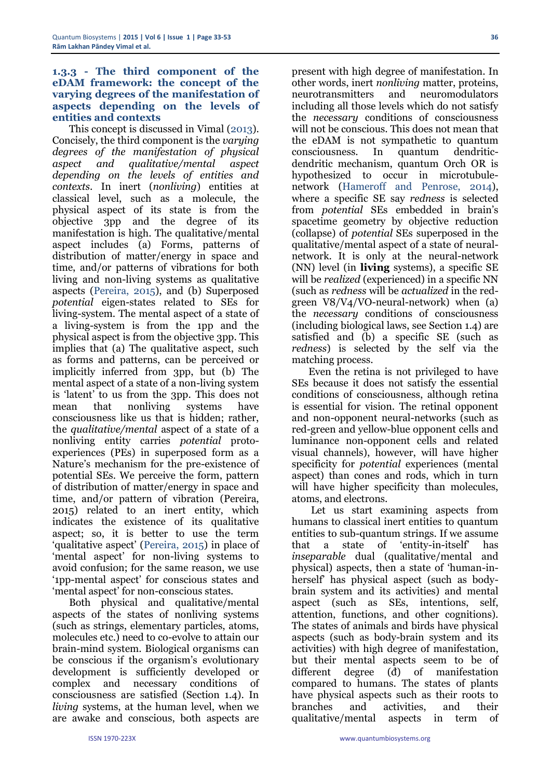#### **1.3.3 - The third component of the eDAM framework: the concept of the varying degrees of the manifestation of aspects depending on the levels of entities and contexts**

This concept is discussed in Vimal (2013). Concisely, the third component is the *varying degrees of the manifestation of physical aspect and qualitative/mental aspect depending on the levels of entities and contexts*. In inert (*nonliving*) entities at classical level, such as a molecule, the physical aspect of its state is from the objective 3pp and the degree of its manifestation is high. The qualitative/mental aspect includes (a) Forms, patterns of distribution of matter/energy in space and time, and/or patterns of vibrations for both living and non-living systems as qualitative aspects (Pereira, 2015), and (b) Superposed *potential* eigen-states related to SEs for living-system. The mental aspect of a state of a living-system is from the 1pp and the physical aspect is from the objective 3pp. This implies that (a) The qualitative aspect, such as forms and patterns, can be perceived or implicitly inferred from 3pp, but (b) The mental aspect of a state of a non-living system is 'latent' to us from the 3pp. This does not mean that nonliving systems have consciousness like us that is hidden; rather, the *qualitative/mental* aspect of a state of a nonliving entity carries *potential* protoexperiences (PEs) in superposed form as a Nature's mechanism for the pre-existence of potential SEs. We perceive the form, pattern of distribution of matter/energy in space and time, and/or pattern of vibration (Pereira, 2015) related to an inert entity, which indicates the existence of its qualitative aspect; so, it is better to use the term 'qualitative aspect' (Pereira, 2015) in place of 'mental aspect' for non-living systems to avoid confusion; for the same reason, we use '1pp-mental aspect' for conscious states and 'mental aspect' for non-conscious states.

Both physical and qualitative/mental aspects of the states of nonliving systems (such as strings, elementary particles, atoms, molecules etc.) need to co-evolve to attain our brain-mind system. Biological organisms can be conscious if the organism's evolutionary development is sufficiently developed or complex and necessary conditions of consciousness are satisfied (Section 1.4). In *living* systems, at the human level, when we are awake and conscious, both aspects are

present with high degree of manifestation. In other words, inert *nonliving* matter, proteins, neurotransmitters and neuromodulators including all those levels which do not satisfy the *necessary* conditions of consciousness will not be conscious. This does not mean that the eDAM is not sympathetic to quantum consciousness. In quantum dendriticdendritic mechanism, quantum Orch OR is hypothesized to occur in microtubulenetwork (Hameroff and Penrose, 2014), where a specific SE say *redness* is selected from *potential* SEs embedded in brain's spacetime geometry by objective reduction (collapse) of *potential* SEs superposed in the qualitative/mental aspect of a state of neuralnetwork. It is only at the neural-network (NN) level (in **living** systems), a specific SE will be *realized* (experienced) in a specific NN (such as *redness* will be *actualized* in the redgreen V8/V4/VO-neural-network) when (a) the *necessary* conditions of consciousness (including biological laws, see Section 1.4) are satisfied and (b) a specific SE (such as *redness*) is selected by the self via the matching process.

Even the retina is not privileged to have SEs because it does not satisfy the essential conditions of consciousness, although retina is essential for vision. The retinal opponent and non-opponent neural-networks (such as red-green and yellow-blue opponent cells and luminance non-opponent cells and related visual channels), however, will have higher specificity for *potential* experiences (mental aspect) than cones and rods, which in turn will have higher specificity than molecules, atoms, and electrons.

Let us start examining aspects from humans to classical inert entities to quantum entities to sub-quantum strings. If we assume that a state of 'entity-in-itself' has *inseparable* dual (qualitative/mental and physical) aspects, then a state of 'human-inherself' has physical aspect (such as bodybrain system and its activities) and mental aspect (such as SEs, intentions, self, attention, functions, and other cognitions). The states of animals and birds have physical aspects (such as body-brain system and its activities) with high degree of manifestation, but their mental aspects seem to be of different degree (đ) of manifestation compared to humans. The states of plants have physical aspects such as their roots to branches and activities, and their qualitative/mental aspects in term of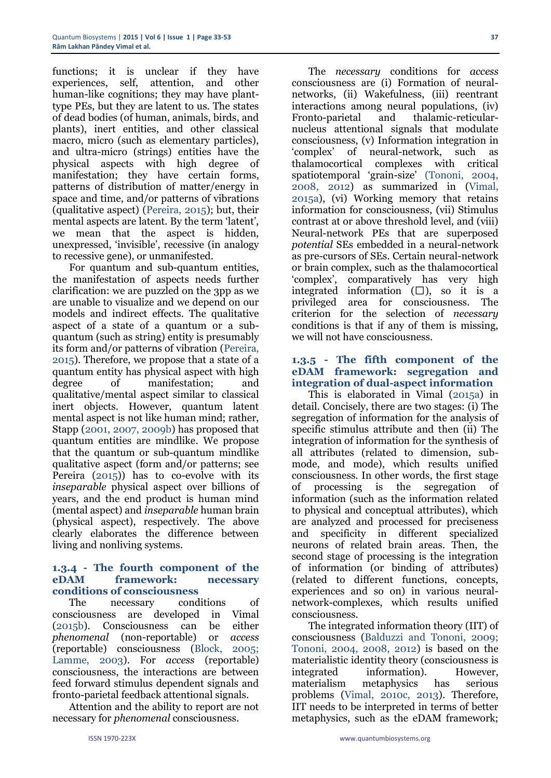functions; it is unclear if they have experiences, self, attention, and other human-like cognitions; they may have planttype PEs, but they are latent to us. The states of dead bodies (of human, animals, birds, and plants), inert entities, and other classical macro, micro (such as elementary particles), and ultra-micro (strings) entities have the physical aspects with high degree of manifestation; they have certain forms, patterns of distribution of matter/energy in space and time, and/or patterns of vibrations (qualitative aspect) (Pereira, 2015); but, their mental aspects are latent. By the term 'latent', we mean that the aspect is hidden, unexpressed, 'invisible', recessive (in analogy to recessive gene), or unmanifested.

For quantum and sub-quantum entities, the manifestation of aspects needs further clarification: we are puzzled on the 3pp as we are unable to visualize and we depend on our models and indirect effects. The qualitative aspect of a state of a quantum or a subquantum (such as string) entity is presumably its form and/or patterns of vibration (Pereira, 2015). Therefore, we propose that a state of a quantum entity has physical aspect with high degree of manifestation; and qualitative/mental aspect similar to classical inert objects. However, quantum latent mental aspect is not like human mind; rather, Stapp (2001, 2007, 2009b) has proposed that quantum entities are mindlike. We propose that the quantum or sub-quantum mindlike qualitative aspect (form and/or patterns; see Pereira (2015)) has to co-evolve with its *inseparable* physical aspect over billions of years, and the end product is human mind (mental aspect) and *inseparable* human brain (physical aspect), respectively. The above clearly elaborates the difference between living and nonliving systems.

#### **1.3.4 - The fourth component of the eDAM framework: necessary conditions of consciousness**

The necessary conditions of consciousness are developed in Vimal (2015b). Consciousness can be either *phenomenal* (non-reportable) or *access* (reportable) consciousness (Block, 2005; Lamme, 2003). For *access* (reportable) consciousness, the interactions are between feed forward stimulus dependent signals and fronto-parietal feedback attentional signals.

Attention and the ability to report are not necessary for *phenomenal* consciousness.

networks, (ii) Wakefulness, (iii) reentrant interactions among neural populations, (iv) Fronto-parietal and thalamic-reticularnucleus attentional signals that modulate consciousness, (v) Information integration in 'complex' of neural-network, such as thalamocortical complexes with critical spatiotemporal 'grain-size' (Tononi, 2004, 2008, 2012) as summarized in (Vimal, 2015a), (vi) Working memory that retains information for consciousness, (vii) Stimulus contrast at or above threshold level, and (viii) Neural-network PEs that are superposed *potential* SEs embedded in a neural-network as pre-cursors of SEs. Certain neural-network or brain complex, such as the thalamocortical 'complex', comparatively has very high integrated information  $(\square)$ , so it is a privileged area for consciousness. The criterion for the selection of *necessary* conditions is that if any of them is missing, we will not have consciousness. **1.3.5 - The fifth component of the** 

The *necessary* conditions for *access* consciousness are (i) Formation of neural-

# **eDAM framework: segregation and integration of dual-aspect information**

This is elaborated in Vimal (2015a) in detail. Concisely, there are two stages: (i) The segregation of information for the analysis of specific stimulus attribute and then (ii) The integration of information for the synthesis of all attributes (related to dimension, submode, and mode), which results unified consciousness. In other words, the first stage of processing is the segregation of information (such as the information related to physical and conceptual attributes), which are analyzed and processed for preciseness and specificity in different specialized neurons of related brain areas. Then, the second stage of processing is the integration of information (or binding of attributes) (related to different functions, concepts, experiences and so on) in various neuralnetwork-complexes, which results unified consciousness.

The integrated information theory (IIT) of consciousness (Balduzzi and Tononi, 2009; Tononi, 2004, 2008, 2012) is based on the materialistic identity theory (consciousness is integrated information). However, materialism metaphysics has serious problems (Vimal, 2010c, 2013). Therefore, IIT needs to be interpreted in terms of better metaphysics, such as the eDAM framework;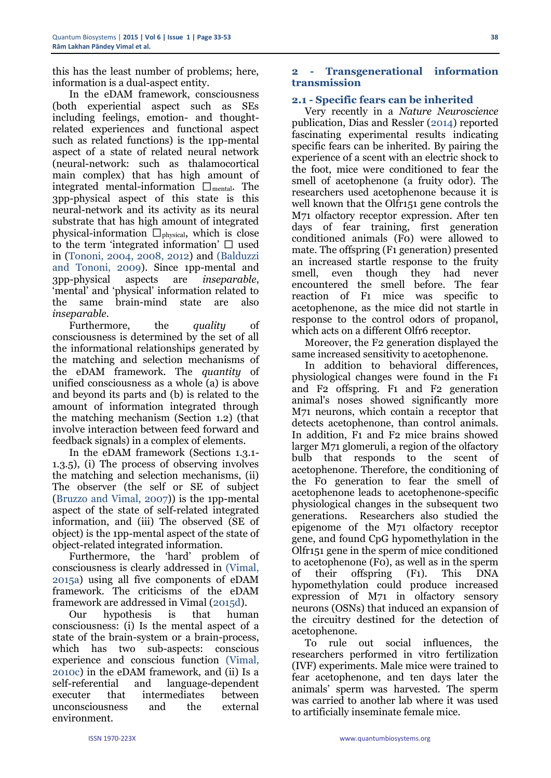this has the least number of problems; here, information is a dual-aspect entity.

In the eDAM framework, consciousness (both experiential aspect such as SEs including feelings, emotion- and thoughtrelated experiences and functional aspect such as related functions) is the 1pp-mental aspect of a state of related neural network (neural-network: such as thalamocortical main complex) that has high amount of integrated mental-information  $\Box_{\text{mental}}$ . The 3pp-physical aspect of this state is this neural-network and its activity as its neural substrate that has high amount of integrated physical-information  $\Box_{\text{physical}}$ , which is close to the term 'integrated information'  $\Box$  used in (Tononi, 2004, 2008, 2012) and (Balduzzi and Tononi, 2009). Since 1pp-mental and 3pp-physical aspects are *inseparable*, 'mental' and 'physical' information related to the same brain-mind state are also *inseparable*.

Furthermore, the *quality* of consciousness is determined by the set of all the informational relationships generated by the matching and selection mechanisms of the eDAM framework. The *quantity* of unified consciousness as a whole (a) is above and beyond its parts and (b) is related to the amount of information integrated through the matching mechanism (Section 1.2) (that involve interaction between feed forward and feedback signals) in a complex of elements.

In the eDAM framework (Sections 1.3.1- 1.3.5), (i) The process of observing involves the matching and selection mechanisms, (ii) The observer (the self or SE of subject (Bruzzo and Vimal, 2007)) is the 1pp-mental aspect of the state of self-related integrated information, and (iii) The observed (SE of object) is the 1pp-mental aspect of the state of object-related integrated information.

Furthermore, the 'hard' problem of consciousness is clearly addressed in (Vimal, 2015a) using all five components of eDAM framework. The criticisms of the eDAM framework are addressed in Vimal (2015d).

Our hypothesis is that human consciousness: (i) Is the mental aspect of a state of the brain-system or a brain-process, which has two sub-aspects: conscious experience and conscious function (Vimal, 2010c) in the eDAM framework, and (ii) Is a self-referential and language-dependent executer that intermediates between unconsciousness and the external environment.

# **2 - Transgenerational information transmission**

# **2.1 - Specific fears can be inherited**

Very recently in a *Nature Neuroscience* publication, Dias and Ressler (2014) reported fascinating experimental results indicating specific fears can be inherited. By pairing the experience of a scent with an electric shock to the foot, mice were conditioned to fear the smell of acetophenone (a fruity odor). The researchers used acetophenone because it is well known that the Olfr151 gene controls the M71 olfactory receptor expression. After ten days of fear training, first generation conditioned animals (F0) were allowed to mate. The offspring (F1 generation) presented an increased startle response to the fruity smell, even though they had never encountered the smell before. The fear reaction of F1 mice was specific to acetophenone, as the mice did not startle in response to the control odors of propanol, which acts on a different Olfr6 receptor.

Moreover, the F2 generation displayed the same increased sensitivity to acetophenone.

In addition to behavioral differences, physiological changes were found in the F1 and F2 offspring. F1 and F2 generation animal's noses showed significantly more M71 neurons, which contain a receptor that detects acetophenone, than control animals. In addition, F1 and F2 mice brains showed larger M71 glomeruli, a region of the olfactory bulb that responds to the scent of acetophenone. Therefore, the conditioning of the F0 generation to fear the smell of acetophenone leads to acetophenone-specific physiological changes in the subsequent two generations. Researchers also studied the epigenome of the M71 olfactory receptor gene, and found CpG hypomethylation in the Olfr151 gene in the sperm of mice conditioned to acetophenone (F0), as well as in the sperm of their offspring (F1). This DNA hypomethylation could produce increased expression of M71 in olfactory sensory neurons (OSNs) that induced an expansion of the circuitry destined for the detection of acetophenone.

To rule out social influences, the researchers performed in vitro fertilization (IVF) experiments. Male mice were trained to fear acetophenone, and ten days later the animals' sperm was harvested. The sperm was carried to another lab where it was used to artificially inseminate female mice.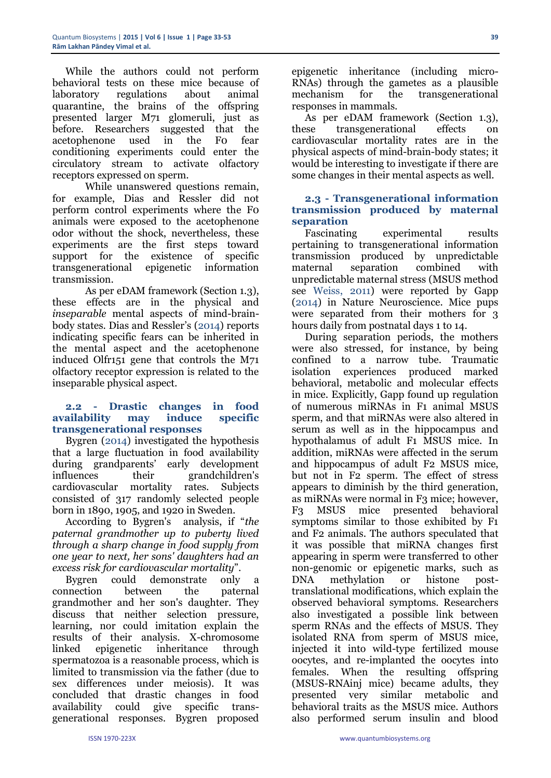While the authors could not perform behavioral tests on these mice because of laboratory regulations about animal quarantine, the brains of the offspring presented larger M71 glomeruli, just as before. Researchers suggested that the acetophenone used in the F0 fear conditioning experiments could enter the circulatory stream to activate olfactory receptors expressed on sperm.

While unanswered questions remain, for example, Dias and Ressler did not perform control experiments where the F0 animals were exposed to the acetophenone odor without the shock, nevertheless, these experiments are the first steps toward support for the existence of specific transgenerational epigenetic information transmission.

As per eDAM framework (Section 1.3), these effects are in the physical and *inseparable* mental aspects of mind-brainbody states. Dias and Ressler's (2014) reports indicating specific fears can be inherited in the mental aspect and the acetophenone induced Olfr151 gene that controls the M71 olfactory receptor expression is related to the inseparable physical aspect.

# **2.2 - Drastic changes in food availability may induce specific transgenerational responses**

Bygren (2014) investigated the hypothesis that a large fluctuation in food availability during grandparents' early development influences their grandchildren's cardiovascular mortality rates. Subjects consisted of 317 randomly selected people born in 1890, 1905, and 1920 in Sweden.

According to Bygren's analysis, if "*the paternal grandmother up to puberty lived through a sharp change in food supply from one year to next, her sons' daughters had an excess risk for cardiovascular mortality*".

Bygren could demonstrate only a connection between the paternal grandmother and her son's daughter. They discuss that neither selection pressure, learning, nor could imitation explain the results of their analysis. X-chromosome linked epigenetic inheritance through spermatozoa is a reasonable process, which is limited to transmission via the father (due to sex differences under meiosis). It was concluded that drastic changes in food availability could give specific transgenerational responses. Bygren proposed

epigenetic inheritance (including micro-RNAs) through the gametes as a plausible mechanism for the transgenerational responses in mammals.

As per eDAM framework (Section 1.3), these transgenerational effects on cardiovascular mortality rates are in the physical aspects of mind-brain-body states; it would be interesting to investigate if there are some changes in their mental aspects as well.

#### **2.3 - Transgenerational information transmission produced by maternal separation**

Fascinating experimental results pertaining to transgenerational information transmission produced by unpredictable maternal separation combined with unpredictable maternal stress (MSUS method see Weiss, 2011) were reported by Gapp (2014) in Nature Neuroscience. Mice pups were separated from their mothers for 3 hours daily from postnatal days 1 to 14.

During separation periods, the mothers were also stressed, for instance, by being confined to a narrow tube. Traumatic isolation experiences produced marked behavioral, metabolic and molecular effects in mice. Explicitly, Gapp found up regulation of numerous miRNAs in F1 animal MSUS sperm, and that miRNAs were also altered in serum as well as in the hippocampus and hypothalamus of adult F1 MSUS mice. In addition, miRNAs were affected in the serum and hippocampus of adult F2 MSUS mice, but not in F2 sperm. The effect of stress appears to diminish by the third generation, as miRNAs were normal in F3 mice; however, F3 MSUS mice presented behavioral symptoms similar to those exhibited by F1 and F2 animals. The authors speculated that it was possible that miRNA changes first appearing in sperm were transferred to other non-genomic or epigenetic marks, such as DNA methylation or histone posttranslational modifications, which explain the observed behavioral symptoms. Researchers also investigated a possible link between sperm RNAs and the effects of MSUS. They isolated RNA from sperm of MSUS mice, injected it into wild-type fertilized mouse oocytes, and re-implanted the oocytes into females. When the resulting offspring (MSUS-RNAinj mice) became adults, they presented very similar metabolic and behavioral traits as the MSUS mice. Authors also performed serum insulin and blood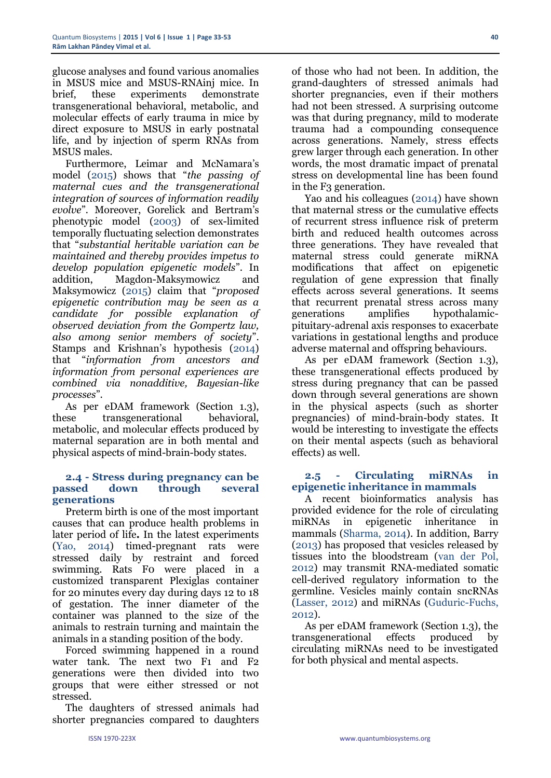glucose analyses and found various anomalies in MSUS mice and MSUS-RNAinj mice. In brief, these experiments demonstrate transgenerational behavioral, metabolic, and molecular effects of early trauma in mice by direct exposure to MSUS in early postnatal life, and by injection of sperm RNAs from MSUS males.

Furthermore, Leimar and McNamara's model (2015) shows that "*the passing of maternal cues and the transgenerational integration of sources of information readily evolve*"*.* Moreover, Gorelick and Bertram's phenotypic model (2003) of sex-limited temporally fluctuating selection demonstrates that "*substantial heritable variation can be maintained and thereby provides impetus to develop population epigenetic models*". In addition, Magdon-Maksymowicz and Maksymowicz (2015) claim that "*proposed epigenetic contribution may be seen as a candidate for possible explanation of observed deviation from the Gompertz law, also among senior members of society*". Stamps and Krishnan's hypothesis (2014) that "*information from ancestors and information from personal experiences are combined via nonadditive, Bayesian-like processes*".

As per eDAM framework (Section 1.3), these transgenerational behavioral, metabolic, and molecular effects produced by maternal separation are in both mental and physical aspects of mind-brain-body states.

#### **2.4 - Stress during pregnancy can be passed down through several generations**

Preterm birth is one of the most important causes that can produce health problems in later period of life**.** In the latest experiments (Yao, 2014) timed-pregnant rats were stressed daily by restraint and forced swimming. Rats F0 were placed in a customized transparent Plexiglas container for 20 minutes every day during days 12 to 18 of gestation. The inner diameter of the container was planned to the size of the animals to restrain turning and maintain the animals in a standing position of the body.

Forced swimming happened in a round water tank. The next two F1 and F2 generations were then divided into two groups that were either stressed or not stressed.

The daughters of stressed animals had shorter pregnancies compared to daughters

of those who had not been. In addition, the grand-daughters of stressed animals had shorter pregnancies, even if their mothers had not been stressed. A surprising outcome was that during pregnancy, mild to moderate trauma had a compounding consequence across generations. Namely, stress effects grew larger through each generation. In other words, the most dramatic impact of prenatal stress on developmental line has been found in the F3 generation.

Yao and his colleagues (2014) have shown that maternal stress or the cumulative effects of recurrent stress influence risk of preterm birth and reduced health outcomes across three generations. They have revealed that maternal stress could generate miRNA modifications that affect on epigenetic regulation of gene expression that finally effects across several generations. It seems that recurrent prenatal stress across many generations amplifies hypothalamicpituitary-adrenal axis responses to exacerbate variations in gestational lengths and produce adverse maternal and offspring behaviours.

As per eDAM framework (Section 1.3), these transgenerational effects produced by stress during pregnancy that can be passed down through several generations are shown in the physical aspects (such as shorter pregnancies) of mind-brain-body states. It would be interesting to investigate the effects on their mental aspects (such as behavioral effects) as well.

#### **2.5 - Circulating miRNAs in epigenetic inheritance in mammals**

A recent bioinformatics analysis has provided evidence for the role of circulating miRNAs in epigenetic inheritance in mammals (Sharma, 2014). In addition, Barry (2013) has proposed that vesicles released by tissues into the bloodstream (van der Pol, 2012) may transmit RNA-mediated somatic cell-derived regulatory information to the germline. Vesicles mainly contain sncRNAs (Lasser, 2012) and miRNAs (Guduric-Fuchs, 2012).

As per eDAM framework (Section 1.3), the transgenerational effects produced by circulating miRNAs need to be investigated for both physical and mental aspects.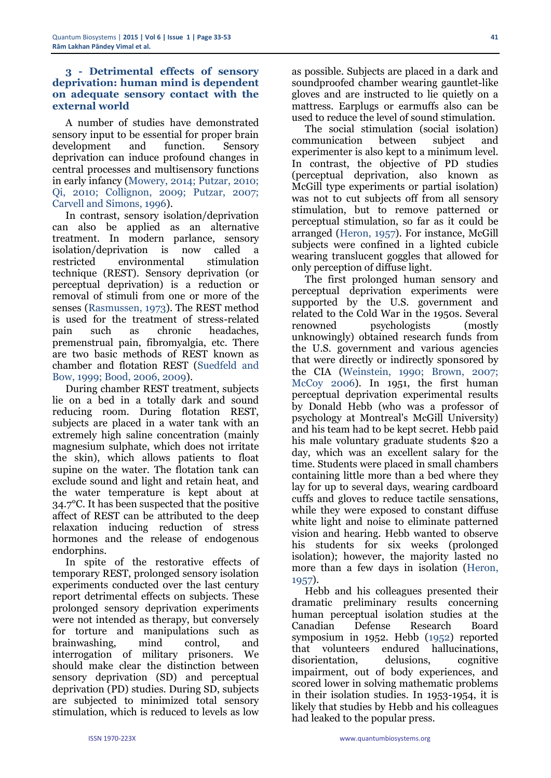#### **3 - Detrimental effects of sensory deprivation: human mind is dependent on adequate sensory contact with the external world**

A number of studies have demonstrated sensory input to be essential for proper brain development and function. Sensory deprivation can induce profound changes in central processes and multisensory functions in early infancy (Mowery, 2014; Putzar, 2010; Qi, 2010; Collignon, 2009; Putzar, 2007; Carvell and Simons, 1996).

In contrast, sensory isolation/deprivation can also be applied as an alternative treatment. In modern parlance, sensory isolation/deprivation is now called a restricted environmental stimulation technique (REST). Sensory deprivation (or perceptual deprivation) is a reduction or removal of stimuli from one or more of the senses (Rasmussen, 1973). The REST method is used for the treatment of stress-related pain such as chronic headaches, premenstrual pain, fibromyalgia, etc. There are two basic methods of REST known as chamber and flotation REST (Suedfeld and Bow, 1999; Bood, 2006, 2009).

During chamber REST treatment, subjects lie on a bed in a totally dark and sound reducing room. During flotation REST, subjects are placed in a water tank with an extremely high saline concentration (mainly magnesium sulphate, which does not irritate the skin), which allows patients to float supine on the water. The flotation tank can exclude sound and light and retain heat, and the water temperature is kept about at 34.7°C. It has been suspected that the positive affect of REST can be attributed to the deep relaxation inducing reduction of stress hormones and the release of endogenous endorphins.

In spite of the restorative effects of temporary REST, prolonged sensory isolation experiments conducted over the last century report detrimental effects on subjects. These prolonged sensory deprivation experiments were not intended as therapy, but conversely for torture and manipulations such as brainwashing, mind control, and interrogation of military prisoners. We should make clear the distinction between sensory deprivation (SD) and perceptual deprivation (PD) studies. During SD, subjects are subjected to minimized total sensory stimulation, which is reduced to levels as low

as possible. Subjects are placed in a dark and soundproofed chamber wearing gauntlet-like gloves and are instructed to lie quietly on a mattress. Earplugs or earmuffs also can be used to reduce the level of sound stimulation.

The social stimulation (social isolation) communication between subject and experimenter is also kept to a minimum level. In contrast, the objective of PD studies (perceptual deprivation, also known as McGill type experiments or partial isolation) was not to cut subjects off from all sensory stimulation, but to remove patterned or perceptual stimulation, so far as it could be arranged (Heron, 1957). For instance, McGill subjects were confined in a lighted cubicle wearing translucent goggles that allowed for only perception of diffuse light.

The first prolonged human sensory and perceptual deprivation experiments were supported by the U.S. government and related to the Cold War in the 1950s. Several renowned psychologists (mostly unknowingly) obtained research funds from the U.S. government and various agencies that were directly or indirectly sponsored by the CIA (Weinstein, 1990; Brown, 2007; McCoy 2006). In 1951, the first human perceptual deprivation experimental results by Donald Hebb (who was a professor of psychology at Montreal's McGill University) and his team had to be kept secret. Hebb paid his male voluntary graduate students \$20 a day, which was an excellent salary for the time. Students were placed in small chambers containing little more than a bed where they lay for up to several days, wearing cardboard cuffs and gloves to reduce tactile sensations, while they were exposed to constant diffuse white light and noise to eliminate patterned vision and hearing. Hebb wanted to observe his students for six weeks (prolonged isolation); however, the majority lasted no more than a few days in isolation (Heron, 1957).

Hebb and his colleagues presented their dramatic preliminary results concerning human perceptual isolation studies at the Canadian Defense Research Board symposium in 1952. Hebb (1952) reported that volunteers endured hallucinations, disorientation, delusions, cognitive impairment, out of body experiences, and scored lower in solving mathematic problems in their isolation studies. In 1953-1954, it is likely that studies by Hebb and his colleagues had leaked to the popular press.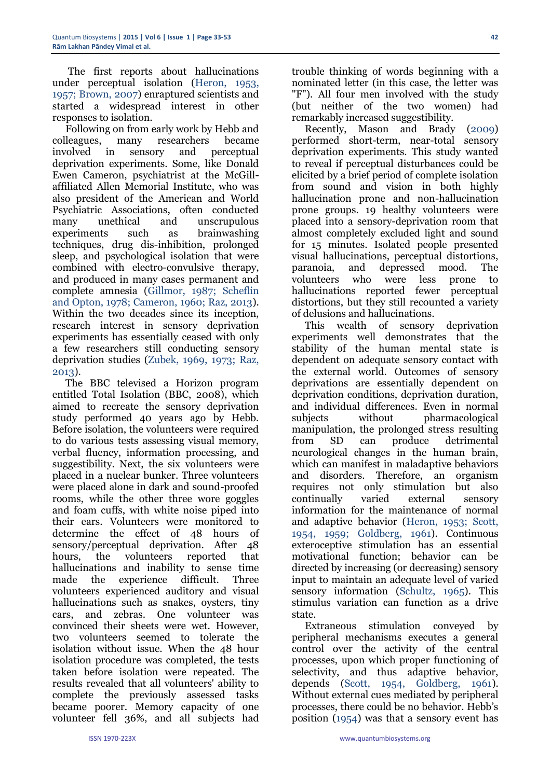The first reports about hallucinations under perceptual isolation (Heron, 1953, 1957; Brown, 2007) enraptured scientists and started a widespread interest in other responses to isolation.

Following on from early work by Hebb and colleagues, many researchers became involved in sensory and perceptual deprivation experiments. Some, like Donald Ewen Cameron, psychiatrist at the McGillaffiliated Allen Memorial Institute, who was also president of the American and World Psychiatric Associations, often conducted many unethical and unscrupulous experiments such as brainwashing techniques, drug dis-inhibition, prolonged sleep, and psychological isolation that were combined with electro-convulsive therapy, and produced in many cases permanent and complete amnesia (Gillmor, 1987; Scheflin and Opton, 1978; Cameron, 1960; Raz, 2013). Within the two decades since its inception, research interest in sensory deprivation experiments has essentially ceased with only a few researchers still conducting sensory deprivation studies (Zubek, 1969, 1973; Raz, 2013).

The BBC televised a Horizon program entitled Total Isolation (BBC, 2008), which aimed to recreate the sensory deprivation study performed 40 years ago by Hebb. Before isolation, the volunteers were required to do various tests assessing visual memory, verbal fluency, information processing, and suggestibility. Next, the six volunteers were placed in a nuclear bunker. Three volunteers were placed alone in dark and sound-proofed rooms, while the other three wore goggles and foam cuffs, with white noise piped into their ears. Volunteers were monitored to determine the effect of 48 hours of sensory/perceptual deprivation. After 48 hours, the volunteers reported that hallucinations and inability to sense time made the experience difficult. Three volunteers experienced auditory and visual hallucinations such as snakes, oysters, tiny cars, and zebras. One volunteer was convinced their sheets were wet. However, two volunteers seemed to tolerate the isolation without issue. When the 48 hour isolation procedure was completed, the tests taken before isolation were repeated. The results revealed that all volunteers' ability to complete the previously assessed tasks became poorer. Memory capacity of one volunteer fell 36%, and all subjects had

trouble thinking of words beginning with a nominated letter (in this case, the letter was "F"). All four men involved with the study (but neither of the two women) had remarkably increased suggestibility.

Recently, Mason and Brady (2009) performed short-term, near-total sensory deprivation experiments. This study wanted to reveal if perceptual disturbances could be elicited by a brief period of complete isolation from sound and vision in both highly hallucination prone and non-hallucination prone groups. 19 healthy volunteers were placed into a sensory-deprivation room that almost completely excluded light and sound for 15 minutes. Isolated people presented visual hallucinations, perceptual distortions, paranoia, and depressed mood. The volunteers who were less prone to hallucinations reported fewer perceptual distortions, but they still recounted a variety of delusions and hallucinations.

This wealth of sensory deprivation experiments well demonstrates that the stability of the human mental state is dependent on adequate sensory contact with the external world. Outcomes of sensory deprivations are essentially dependent on deprivation conditions, deprivation duration, and individual differences. Even in normal subjects without pharmacological manipulation, the prolonged stress resulting from SD can produce detrimental neurological changes in the human brain, which can manifest in maladaptive behaviors and disorders. Therefore, an organism requires not only stimulation but also continually varied external sensory information for the maintenance of normal and adaptive behavior (Heron, 1953; Scott, 1954, 1959; Goldberg, 1961). Continuous exteroceptive stimulation has an essential motivational function; behavior can be directed by increasing (or decreasing) sensory input to maintain an adequate level of varied sensory information (Schultz, 1965). This stimulus variation can function as a drive state.

Extraneous stimulation conveyed by peripheral mechanisms executes a general control over the activity of the central processes, upon which proper functioning of selectivity, and thus adaptive behavior, depends (Scott, 1954, Goldberg, 1961). Without external cues mediated by peripheral processes, there could be no behavior. Hebb's position (1954) was that a sensory event has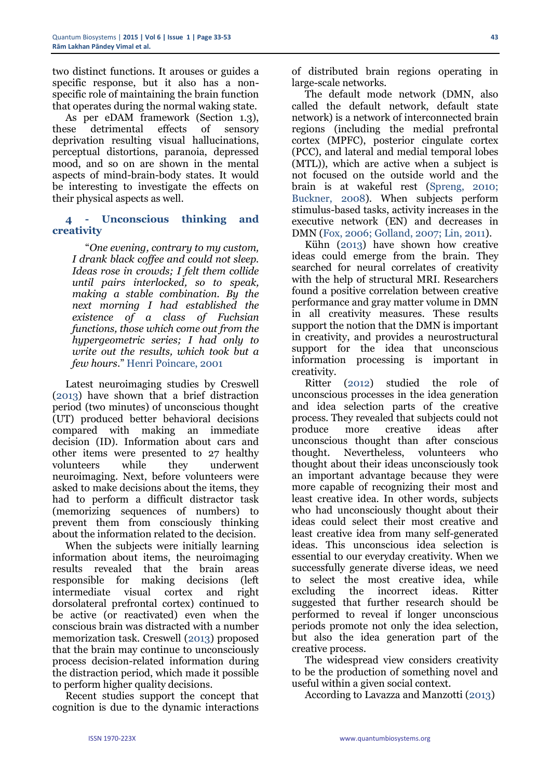two distinct functions. It arouses or guides a specific response, but it also has a nonspecific role of maintaining the brain function that operates during the normal waking state.

As per eDAM framework (Section 1.3), these detrimental effects of sensory deprivation resulting visual hallucinations, perceptual distortions, paranoia, depressed mood, and so on are shown in the mental aspects of mind-brain-body states. It would be interesting to investigate the effects on their physical aspects as well.

#### **4 - Unconscious thinking and creativity**

"*One evening, contrary to my custom, I drank black coffee and could not sleep. Ideas rose in crowds; I felt them collide until pairs interlocked, so to speak, making a stable combination. By the next morning I had established the existence of a class of Fuchsian functions, those which come out from the hypergeometric series; I had only to write out the results, which took but a few hours*." Henri Poincare, 2001

Latest neuroimaging studies by Creswell (2013) have shown that a brief distraction period (two minutes) of unconscious thought (UT) produced better behavioral decisions compared with making an immediate decision (ID). Information about cars and other items were presented to 27 healthy volunteers while they underwent neuroimaging. Next, before volunteers were asked to make decisions about the items, they had to perform a difficult distractor task (memorizing sequences of numbers) to prevent them from consciously thinking about the information related to the decision.

When the subjects were initially learning information about items, the neuroimaging results revealed that the brain areas responsible for making decisions (left intermediate visual cortex and right dorsolateral prefrontal cortex) continued to be active (or reactivated) even when the conscious brain was distracted with a number memorization task. Creswell (2013) proposed that the brain may continue to unconsciously process decision-related information during the distraction period, which made it possible to perform higher quality decisions.

Recent studies support the concept that cognition is due to the dynamic interactions

of distributed brain regions operating in large-scale networks.

The default mode network (DMN, also called the default network, default state network) is a network of interconnected brain regions (including the medial prefrontal cortex (MPFC), posterior cingulate cortex (PCC), and lateral and medial temporal lobes (MTL)), which are active when a subject is not focused on the outside world and the brain is at wakeful rest (Spreng, 2010; Buckner, 2008). When subjects perform stimulus-based tasks, activity increases in the executive network (EN) and decreases in DMN (Fox, 2006; Golland, 2007; Lin, 2011).

Kühn (2013) have shown how creative ideas could emerge from the brain. They searched for neural correlates of creativity with the help of structural MRI. Researchers found a positive correlation between creative performance and gray matter volume in DMN in all creativity measures. These results support the notion that the DMN is important in creativity, and provides a neurostructural support for the idea that unconscious information processing is important in creativity.

Ritter (2012) studied the role of unconscious processes in the idea generation and idea selection parts of the creative process. They revealed that subjects could not produce more creative ideas after unconscious thought than after conscious thought. Nevertheless, volunteers who thought about their ideas unconsciously took an important advantage because they were more capable of recognizing their most and least creative idea. In other words, subjects who had unconsciously thought about their ideas could select their most creative and least creative idea from many self-generated ideas. This unconscious idea selection is essential to our everyday creativity. When we successfully generate diverse ideas, we need to select the most creative idea, while excluding the incorrect ideas. Ritter suggested that further research should be performed to reveal if longer unconscious periods promote not only the idea selection, but also the idea generation part of the creative process.

The widespread view considers creativity to be the production of something novel and useful within a given social context.

According to Lavazza and Manzotti (2013)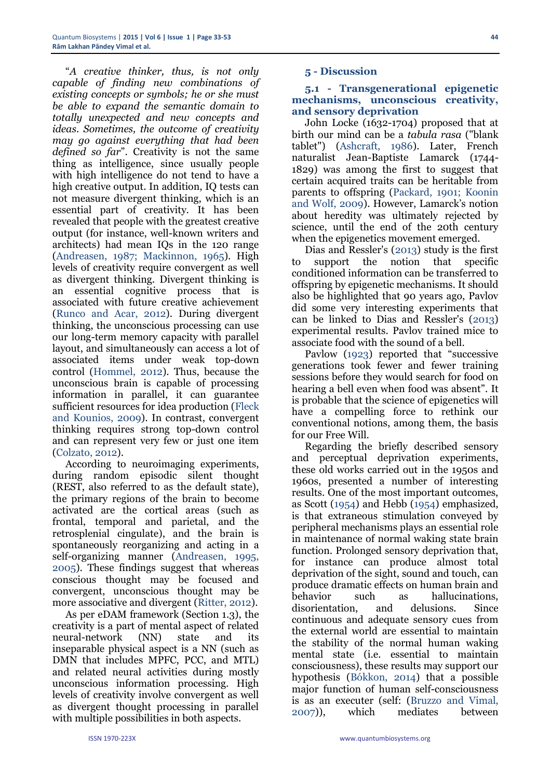"*A creative thinker, thus, is not only capable of finding new combinations of existing concepts or symbols; he or she must be able to expand the semantic domain to totally unexpected and new concepts and ideas. Sometimes, the outcome of creativity may go against everything that had been defined so far*". Creativity is not the same thing as intelligence, since usually people with high intelligence do not tend to have a high creative output. In addition, IQ tests can not measure divergent thinking, which is an essential part of creativity. It has been revealed that people with the greatest creative output (for instance, well-known writers and architects) had mean IQs in the 120 range (Andreasen, 1987; Mackinnon, 1965). High levels of creativity require convergent as well as divergent thinking. Divergent thinking is an essential cognitive process that is associated with future creative achievement (Runco and Acar, 2012). During divergent thinking, the unconscious processing can use our long-term memory capacity with parallel layout, and simultaneously can access a lot of associated items under weak top-down control (Hommel, 2012). Thus, because the unconscious brain is capable of processing information in parallel, it can guarantee sufficient resources for idea production (Fleck and Kounios, 2009). In contrast, convergent thinking requires strong top-down control and can represent very few or just one item (Colzato, 2012).

According to neuroimaging experiments, during random episodic silent thought (REST, also referred to as the default state), the primary regions of the brain to become activated are the cortical areas (such as frontal, temporal and parietal, and the retrosplenial cingulate), and the brain is spontaneously reorganizing and acting in a self-organizing manner (Andreasen, 1995, 2005). These findings suggest that whereas conscious thought may be focused and convergent, unconscious thought may be more associative and divergent (Ritter, 2012).

As per eDAM framework (Section 1.3), the creativity is a part of mental aspect of related neural-network (NN) state and its inseparable physical aspect is a NN (such as DMN that includes MPFC, PCC, and MTL) and related neural activities during mostly unconscious information processing. High levels of creativity involve convergent as well as divergent thought processing in parallel with multiple possibilities in both aspects.

#### **5 - Discussion**

#### **5.1 - Transgenerational epigenetic mechanisms, unconscious creativity, and sensory deprivation**

John Locke (1632-1704) proposed that at birth our mind can be a *tabula rasa* ("blank tablet") (Ashcraft, 1986). Later, French naturalist Jean-Baptiste Lamarck (1744- 1829) was among the first to suggest that certain acquired traits can be heritable from parents to offspring (Packard, 1901; Koonin and Wolf, 2009). However, Lamarck's notion about heredity was ultimately rejected by science, until the end of the 20th century when the epigenetics movement emerged.

Dias and Ressler's (2013) study is the first to support the notion that specific conditioned information can be transferred to offspring by epigenetic mechanisms. It should also be highlighted that 90 years ago, Pavlov did some very interesting experiments that can be linked to Dias and Ressler's (2013) experimental results. Pavlov trained mice to associate food with the sound of a bell.

Pavlow (1923) reported that "successive generations took fewer and fewer training sessions before they would search for food on hearing a bell even when food was absent". It is probable that the science of epigenetics will have a compelling force to rethink our conventional notions, among them, the basis for our Free Will.

Regarding the briefly described sensory and perceptual deprivation experiments, these old works carried out in the 1950s and 1960s, presented a number of interesting results. One of the most important outcomes, as Scott (1954) and Hebb (1954) emphasized, is that extraneous stimulation conveyed by peripheral mechanisms plays an essential role in maintenance of normal waking state brain function. Prolonged sensory deprivation that, for instance can produce almost total deprivation of the sight, sound and touch, can produce dramatic effects on human brain and behavior such as hallucinations, disorientation, and delusions. Since continuous and adequate sensory cues from the external world are essential to maintain the stability of the normal human waking mental state (i.e. essential to maintain consciousness), these results may support our hypothesis (Bókkon, 2014) that a possible major function of human self-consciousness is as an executer (self: (Bruzzo and Vimal, 2007)), which mediates between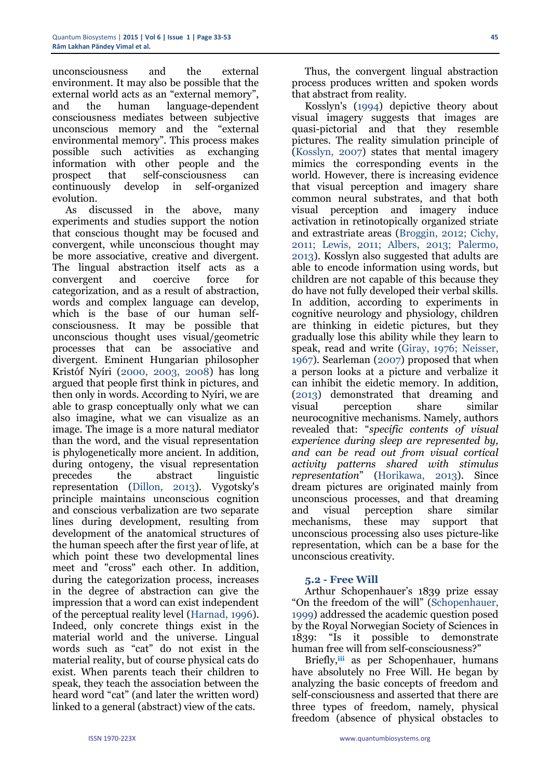unconsciousness and the external environment. It may also be possible that the external world acts as an "external memory", and the human language-dependent consciousness mediates between subjective unconscious memory and the "external environmental memory". This process makes possible such activities as exchanging information with other people and the prospect that self-consciousness can continuously develop in self-organized evolution.

As discussed in the above, many experiments and studies support the notion that conscious thought may be focused and convergent, while unconscious thought may be more associative, creative and divergent. The lingual abstraction itself acts as a convergent and coercive force for categorization, and as a result of abstraction, words and complex language can develop, which is the base of our human selfconsciousness. It may be possible that unconscious thought uses visual/geometric processes that can be associative and divergent. Eminent Hungarian philosopher Kristóf Nyíri (2000, 2003, 2008) has long argued that people first think in pictures, and then only in words. According to Nyíri, we are able to grasp conceptually only what we can also imagine, what we can visualize as an image. The image is a more natural mediator than the word, and the visual representation is phylogenetically more ancient. In addition, during ontogeny, the visual representation precedes the abstract linguistic representation (Dillon, 2013). Vygotsky's principle maintains unconscious cognition and conscious verbalization are two separate lines during development, resulting from development of the anatomical structures of the human speech after the first year of life, at which point these two developmental lines meet and "cross" each other. In addition, during the categorization process, increases in the degree of abstraction can give the impression that a word can exist independent of the perceptual reality level (Harnad, 1996). Indeed, only concrete things exist in the material world and the universe. Lingual words such as "cat" do not exist in the material reality, but of course physical cats do exist. When parents teach their children to speak, they teach the association between the heard word "cat" (and later the written word) linked to a general (abstract) view of the cats.

Thus, the convergent lingual abstraction process produces written and spoken words that abstract from reality.

Kosslyn's (1994) depictive theory about visual imagery suggests that images are quasi-pictorial and that they resemble pictures. The reality simulation principle of (Kosslyn, 2007) states that mental imagery mimics the corresponding events in the world. However, there is increasing evidence that visual perception and imagery share common neural substrates, and that both visual perception and imagery induce activation in retinotopically organized striate and extrastriate areas (Broggin, 2012; Cichy, 2011; Lewis, 2011; Albers, 2013; Palermo, 2013). Kosslyn also suggested that adults are able to encode information using words, but children are not capable of this because they do have not fully developed their verbal skills. In addition, according to experiments in cognitive neurology and physiology, children are thinking in eidetic pictures, but they gradually lose this ability while they learn to speak, read and write (Giray, 1976; Neisser, 1967). Searleman (2007) proposed that when a person looks at a picture and verbalize it can inhibit the eidetic memory. In addition, (2013) demonstrated that dreaming and visual perception share similar neurocognitive mechanisms. Namely, authors revealed that: "*specific contents of visual experience during sleep are represented by, and can be read out from visual cortical activity patterns shared with stimulus representation*" ([Horikawa,](http://www.ncbi.nlm.nih.gov/pubmed?term=Horikawa%20T%5BAuthor%5D&cauthor=true&cauthor_uid=23558170) 2013). Since dream pictures are originated mainly from unconscious processes, and that dreaming and visual perception share similar mechanisms, these may support that unconscious processing also uses picture-like representation, which can be a base for the unconscious creativity.

#### **5.2 - Free Will**

Arthur Schopenhauer's 1839 prize essay "On the freedom of the will" (Schopenhauer, 1999) addressed the academic question posed by the Royal Norwegian Society of Sciences in 1839: "Is it possible to demonstrate human free will from self-consciousness?"

Briefly,**iii** as per Schopenhauer, humans have absolutely no Free Will. He began by analyzing the basic concepts of freedom and self-consciousness and asserted that there are three types of freedom, namely, physical freedom (absence of physical obstacles to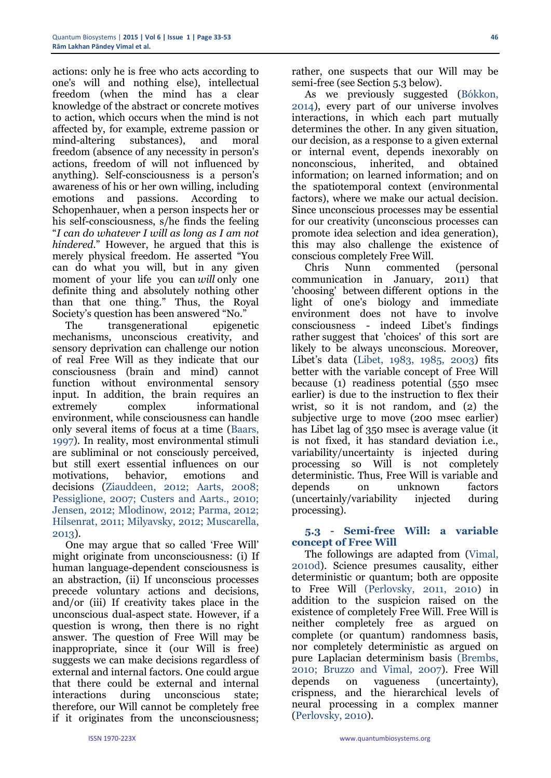actions: only he is free who acts according to one's will and nothing else), intellectual freedom (when the mind has a clear knowledge of the abstract or concrete motives to action, which occurs when the mind is not affected by, for example, extreme passion or mind-altering substances), and moral freedom (absence of any necessity in person's actions, freedom of will not influenced by anything). Self-consciousness is a person's awareness of his or her own willing, including emotions and passions. According to Schopenhauer, when a person inspects her or his self-consciousness, s/he finds the feeling "*I can do whatever I will as long as I am not hindered*." However, he argued that this is merely physical freedom. He asserted "You can do what you will, but in any given moment of your life you can *will* only one definite thing and absolutely nothing other than that one thing." Thus, the Royal Society's question has been answered "No."

The transgenerational epigenetic mechanisms, unconscious creativity, and sensory deprivation can challenge our notion of real Free Will as they indicate that our consciousness (brain and mind) cannot function without environmental sensory input. In addition, the brain requires an extremely complex informational environment, while consciousness can handle only several items of focus at a time (Baars, 1997). In reality, most environmental stimuli are subliminal or not consciously perceived, but still exert essential influences on our motivations, behavior, emotions and decisions (Ziauddeen, 2012; Aarts, 2008; Pessiglione, 2007; Custers and Aarts., 2010; Jensen, 2012; Mlodinow, 2012; Parma, 2012; Hilsenrat, 2011; Milyavsky, 2012; Muscarella, 2013).

One may argue that so called 'Free Will' might originate from unconsciousness: (i) If human language-dependent consciousness is an abstraction, (ii) If unconscious processes precede voluntary actions and decisions, and/or (iii) If creativity takes place in the unconscious dual-aspect state. However, if a question is wrong, then there is no right answer. The question of Free Will may be inappropriate, since it (our Will is free) suggests we can make decisions regardless of external and internal factors. One could argue that there could be external and internal interactions during unconscious state; therefore, our Will cannot be completely free if it originates from the unconsciousness;

As we previously suggested (Bókkon, 2014), every part of our universe involves interactions, in which each part mutually determines the other. In any given situation, our decision, as a response to a given external or internal event, depends inexorably on nonconscious, inherited, and obtained information; on learned information; and on the spatiotemporal context (environmental factors), where we make our actual decision. Since unconscious processes may be essential for our creativity (unconscious processes can promote idea selection and idea generation), this may also challenge the existence of conscious completely Free Will.

Chris Nunn commented (personal communication in January, 2011) that 'choosing' between different options in the light of one's biology and immediate environment does not have to involve consciousness - indeed Libet's findings rather suggest that 'choices' of this sort are likely to be always unconscious. Moreover, Libet's data (Libet, 1983, 1985, 2003) fits better with the variable concept of Free Will because (1) readiness potential (550 msec earlier) is due to the instruction to flex their wrist, so it is not random, and (2) the subjective urge to move (200 msec earlier) has Libet lag of 350 msec is average value (it is not fixed, it has standard deviation i.e., variability/uncertainty is injected during processing so Will is not completely deterministic. Thus, Free Will is variable and depends on unknown factors (uncertainly/variability injected during processing).

#### **5.3 - Semi-free Will: a variable concept of Free Will**

The followings are adapted from (Vimal, 2010d). Science presumes causality, either deterministic or quantum; both are opposite to Free Will (Perlovsky, 2011, 2010) in addition to the suspicion raised on the existence of completely Free Will. Free Will is neither completely free as argued on complete (or quantum) randomness basis, nor completely deterministic as argued on pure Laplacian determinism basis (Brembs, 2010; Bruzzo and Vimal, 2007). Free Will depends on vagueness (uncertainty), crispness, and the hierarchical levels of neural processing in a complex manner (Perlovsky, 2010).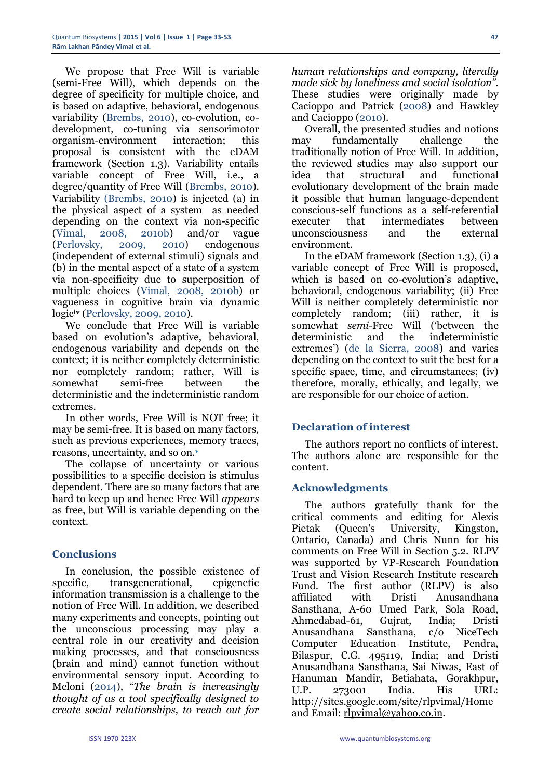We propose that Free Will is variable (semi-Free Will), which depends on the degree of specificity for multiple choice, and is based on adaptive, behavioral, endogenous variability (Brembs, 2010), co-evolution, codevelopment, co-tuning via sensorimotor organism-environment interaction; this proposal is consistent with the eDAM framework (Section 1.3). Variability entails variable concept of Free Will, i.e., a degree/quantity of Free Will (Brembs, 2010). Variability (Brembs, 2010) is injected (a) in the physical aspect of a system as needed depending on the context via non-specific (Vimal, 2008, 2010b) and/or vague (Perlovsky, 2009, 2010) endogenous (independent of external stimuli) signals and (b) in the mental aspect of a state of a system via non-specificity due to superposition of multiple choices (Vimal, 2008, 2010b) or vagueness in cognitive brain via dynamic logic**iv** (Perlovsky, 2009, 2010).

We conclude that Free Will is variable based on evolution's adaptive, behavioral, endogenous variability and depends on the context; it is neither completely deterministic nor completely random; rather, Will is somewhat semi-free between the deterministic and the indeterministic random extremes.

In other words, Free Will is NOT free; it may be semi-free. It is based on many factors, such as previous experiences, memory traces, reasons, uncertainty, and so on.**<sup>v</sup>**

The collapse of uncertainty or various possibilities to a specific decision is stimulus dependent. There are so many factors that are hard to keep up and hence Free Will *appears* as free, but Will is variable depending on the context.

# **Conclusions**

In conclusion, the possible existence of specific, transgenerational, epigenetic information transmission is a challenge to the notion of Free Will. In addition, we described many experiments and concepts, pointing out the unconscious processing may play a central role in our creativity and decision making processes, and that consciousness (brain and mind) cannot function without environmental sensory input. According to Meloni (2014), "*The brain is increasingly thought of as a tool specifically designed to create social relationships, to reach out for* 

*human relationships and company, literally made sick by loneliness and social isolation".*  These studies were originally made by Cacioppo and Patrick (2008) and Hawkley and Cacioppo (2010).

Overall, the presented studies and notions may fundamentally challenge the traditionally notion of Free Will. In addition, the reviewed studies may also support our idea that structural and functional evolutionary development of the brain made it possible that human language-dependent conscious-self functions as a self-referential executer that intermediates between unconsciousness and the external environment.

In the eDAM framework (Section 1.3), (i) a variable concept of Free Will is proposed, which is based on co-evolution's adaptive, behavioral, endogenous variability; (ii) Free Will is neither completely deterministic nor completely random; (iii) rather, it is somewhat *semi*-Free Will ('between the deterministic and the indeterministic extremes') (de la Sierra, 2008) and varies depending on the context to suit the best for a specific space, time, and circumstances; (iv) therefore, morally, ethically, and legally, we are responsible for our choice of action.

# **Declaration of interest**

The authors report no conflicts of interest. The authors alone are responsible for the content.

#### **Acknowledgments**

The authors gratefully thank for the critical comments and editing for Alexis Pietak (Queen's University, Kingston, Ontario, Canada) and Chris Nunn for his comments on Free Will in Section 5.2. RLPV was supported by VP-Research Foundation Trust and Vision Research Institute research Fund. The first author (RLPV) is also affiliated with Dristi Anusandhana Sansthana, A-60 Umed Park, Sola Road, Ahmedabad-61, Gujrat, India; Dristi Anusandhana Sansthana, c/o NiceTech Computer Education Institute, Pendra, Bilaspur, C.G. 495119, India; and Dristi Anusandhana Sansthana, Sai Niwas, East of Hanuman Mandir, Betiahata, Gorakhpur, U.P. 273001 India. His URL: <http://sites.google.com/site/rlpvimal/Home> and Email: [rlpvimal@yahoo.co.in.](mailto:rlpvimal@yahoo.co.in)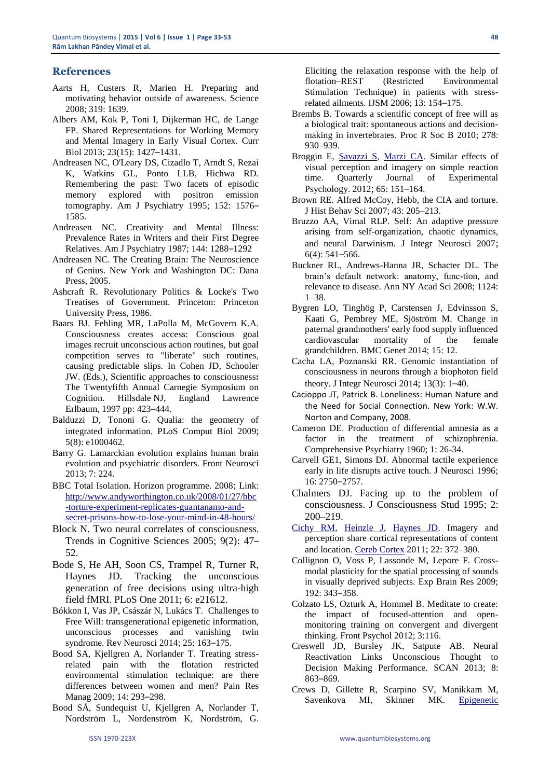#### **References**

- Aarts H, Custers R, Marien H. Preparing and motivating behavior outside of awareness. Science 2008; 319: 1639.
- [Albers AM,](http://www.ncbi.nlm.nih.gov/pubmed?term=Albers%20AM%5BAuthor%5D&cauthor=true&cauthor_uid=23871239) [Kok P,](http://www.ncbi.nlm.nih.gov/pubmed?term=Kok%20P%5BAuthor%5D&cauthor=true&cauthor_uid=23871239) [Toni I,](http://www.ncbi.nlm.nih.gov/pubmed?term=Toni%20I%5BAuthor%5D&cauthor=true&cauthor_uid=23871239) [Dijkerman HC,](http://www.ncbi.nlm.nih.gov/pubmed?term=Dijkerman%20HC%5BAuthor%5D&cauthor=true&cauthor_uid=23871239) [de Lange](http://www.ncbi.nlm.nih.gov/pubmed?term=de%20Lange%20FP%5BAuthor%5D&cauthor=true&cauthor_uid=23871239)  [FP.](http://www.ncbi.nlm.nih.gov/pubmed?term=de%20Lange%20FP%5BAuthor%5D&cauthor=true&cauthor_uid=23871239) Shared Representations for Working Memory and Mental Imagery in Early Visual Cortex. [Curr](http://www.ncbi.nlm.nih.gov/pubmed/23871239)  [Biol](http://www.ncbi.nlm.nih.gov/pubmed/23871239) 2013; 23(15): 1427–1431.
- Andreasen NC, O'Leary DS, Cizadlo T, Arndt S, Rezai K, Watkins GL, Ponto LLB, Hichwa RD. Remembering the past: Two facets of episodic memory explored with positron emission tomography. Am J Psychiatry 1995; 152: 1576– 1585.
- Andreasen NC. Creativity and Mental Illness: Prevalence Rates in Writers and their First Degree Relatives. Am J Psychiatry 1987; 144: 1288–1292
- Andreasen NC. The Creating Brain: The Neuroscience of Genius. New York and Washington DC: Dana Press, 2005.
- Ashcraft R. Revolutionary Politics & Locke's Two Treatises of Government. Princeton: Princeton University Press, 1986.
- Baars BJ. Fehling MR, LaPolla M, McGovern K.A. Consciousness creates access: Conscious goal images recruit unconscious action routines, but goal competition serves to "liberate" such routines, causing predictable slips. In Cohen JD, Schooler JW. (Eds.), Scientific approaches to consciousness**:** The Twentyfifth Annual Carnegie Symposium on Cognition. Hillsdale NJ, England Lawrence Erlbaum, 1997 pp: 423–444.
- Balduzzi D, Tononi G. Qualia: the geometry of integrated information. PLoS Comput Biol 2009; 5(8): e1000462.
- Barry G. Lamarckian evolution explains human brain evolution and psychiatric disorders. Front Neurosci 2013; 7: 224.
- BBC Total Isolation. Horizon programme. 2008; Link: [http://www.andyworthington.co.uk/2008/01/27/bbc](http://www.andyworthington.co.uk/2008/01/27/bbc-torture-experiment-replicates-guantanamo-and-secret-prisons-how-to-lose-your-mind-in-48-hours/) [-torture-experiment-replicates-guantanamo-and](http://www.andyworthington.co.uk/2008/01/27/bbc-torture-experiment-replicates-guantanamo-and-secret-prisons-how-to-lose-your-mind-in-48-hours/)[secret-prisons-how-to-lose-your-mind-in-48-hours/](http://www.andyworthington.co.uk/2008/01/27/bbc-torture-experiment-replicates-guantanamo-and-secret-prisons-how-to-lose-your-mind-in-48-hours/)
- Block N. Two neural correlates of consciousness. Trends in Cognitive Sciences 2005; 9(2): 47– 52.
- Bode S, He AH, Soon CS, Trampel R, Turner R, Haynes JD. Tracking the unconscious generation of free decisions using ultra-high field fMRI. PLoS One 2011; 6: e21612.
- Bókkon I, Vas JP, Császár N, Lukács T. Challenges to Free Will: transgenerational epigenetic information, unconscious processes and vanishing twin syndrome. Rev Neurosci 2014; 25: 163–175.
- Bood SA, Kjellgren A, Norlander T. Treating stressrelated pain with the flotation restricted environmental stimulation technique: are there differences between women and men? Pain Res Manag 2009; 14: 293–298.
- Bood SÅ, Sundequist U, Kjellgren A, Norlander T, Nordström L, Nordenström K, Nordström, G.

Eliciting the relaxation response with the help of flotation–REST (Restricted Environmental Stimulation Technique) in patients with stressrelated ailments. IJSM 2006; 13: 154–175.

- Brembs B. Towards a scientific concept of free will as a biological trait: spontaneous actions and decisionmaking in invertebrates. Proc R Soc B 2010; 278: 930–939.
- Broggin E, [Savazzi S,](http://www.ncbi.nlm.nih.gov/pubmed?term=%22Savazzi%20S%22%5BAuthor%5D) [Marzi CA.](http://www.ncbi.nlm.nih.gov/pubmed?term=%22Marzi%20CA%22%5BAuthor%5D) Similar effects of visual perception and imagery on simple reaction time. [Quarterly Journal](http://www.ncbi.nlm.nih.gov/pubmed/21879807) of Experimental Psychology. 2012; [65: 151–164.](http://www.ncbi.nlm.nih.gov/pubmed/21879807)
- Brown RE. Alfred McCoy, Hebb, the CIA and torture. J Hist Behav Sci 2007; 43: 205–213.
- Bruzzo AA, Vimal RLP. Self: An adaptive pressure arising from self-organization, chaotic dynamics, and neural Darwinism. J Integr Neurosci 2007; 6(4): 541–566.
- Buckner RL, Andrews-Hanna JR, Schacter DL. The brain's default network: anatomy, func-tion, and relevance to disease. Ann NY Acad Sci 2008; 1124: 1–38.
- Bygren LO, Tinghög P, Carstensen J, Edvinsson S, Kaati G, Pembrey ME, Sjöström M. Change in paternal grandmothers' early food supply influenced cardiovascular mortality of the female grandchildren. BMC Genet 2014; 15: 12.
- Cacha LA, Poznanski RR. Genomic instantiation of consciousness in neurons through a biophoton field theory. J Integr Neurosci 2014; 13(3): 1–40.
- Cacioppo JT, Patrick B. Loneliness: Human Nature and the Need for Social Connection. New York: W.W. Norton and Company, 2008.
- Cameron DE. Production of differential amnesia as a factor in the treatment of schizophrenia. Comprehensive Psychiatry 1960; 1: 26-34.
- Carvell GE1, Simons DJ. Abnormal tactile experience early in life disrupts active touch. J Neurosci 1996; 16: 2750–2757.
- Chalmers DJ. Facing up to the problem of consciousness. J Consciousness Stud 1995; 2: 200–219.
- [Cichy RM,](http://www.ncbi.nlm.nih.gov/pubmed?term=%22Cichy%20RM%22%5BAuthor%5D) [Heinzle J,](http://www.ncbi.nlm.nih.gov/pubmed?term=%22Heinzle%20J%22%5BAuthor%5D) [Haynes JD.](http://www.ncbi.nlm.nih.gov/pubmed?term=%22Haynes%20JD%22%5BAuthor%5D) Imagery and perception share cortical representations of content and location[. Cereb Cortex](http://www.ncbi.nlm.nih.gov/pubmed/21666128) 2011; 22: 372–380.
- Collignon O, Voss P, Lassonde M, Lepore F. Crossmodal plasticity for the spatial processing of sounds in visually deprived subjects. Exp Brain Res 2009; 192: 343–358.
- Colzato LS, Ozturk A, Hommel B. Meditate to create: the impact of focused-attention and openmonitoring training on convergent and divergent thinking. Front Psychol 2012; 3:116.
- Creswell JD, Bursley JK, Satpute AB. Neural Reactivation Links Unconscious Thought to Decision Making Performance. SCAN 2013; 8: 863–869.
- Crews D, Gillette R, Scarpino SV, Manikkam M, Savenkova MI, Skinner MK. [Epigenetic](http://www.ncbi.nlm.nih.gov/pubmed/22615374)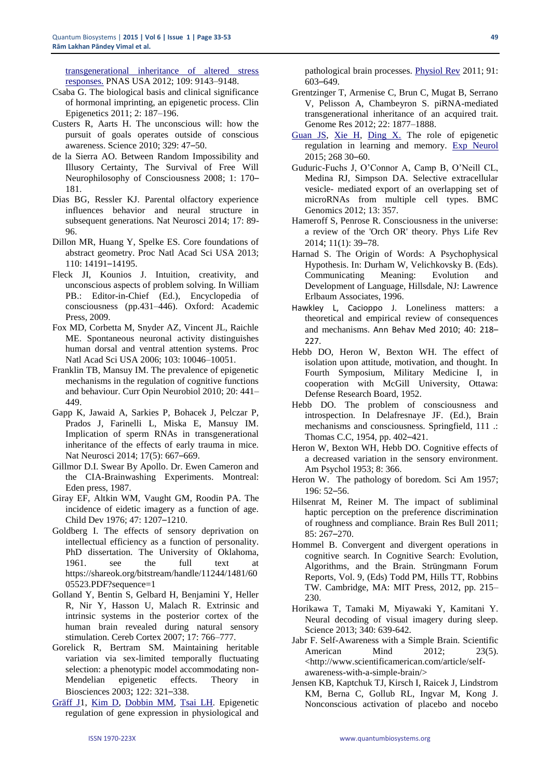[transgenerational inheritance of altered stress](http://www.ncbi.nlm.nih.gov/pubmed/22615374)  [responses.](http://www.ncbi.nlm.nih.gov/pubmed/22615374) PNAS USA 2012; 109: 9143–9148.

- Csaba G. The biological basis and clinical significance of hormonal imprinting, an epigenetic process. Clin Epigenetics 2011; 2: 187–196.
- Custers R, Aarts H. The unconscious will: how the pursuit of goals operates outside of conscious awareness. Science 2010; 329: 47–50.
- de la Sierra AO. Between Random Impossibility and Illusory Certainty, The Survival of Free Will Neurophilosophy of Consciousness 2008; 1: 170– 181.
- Dias BG, Ressler KJ. Parental olfactory experience influences behavior and neural structure in subsequent generations. Nat Neurosci 2014; 17: 89- 96.
- Dillon MR, Huang Y, Spelke ES. Core foundations of abstract geometry. Proc Natl Acad Sci USA 2013; 110: 14191–14195.
- Fleck JI, Kounios J. Intuition, creativity, and unconscious aspects of problem solving. In William PB.: Editor-in-Chief (Ed.), Encyclopedia of consciousness (pp.431–446). Oxford: Academic Press, 2009.
- Fox MD, Corbetta M, Snyder AZ, Vincent JL, Raichle ME. Spontaneous neuronal activity distinguishes human dorsal and ventral attention systems. Proc Natl Acad Sci USA 2006; 103: 10046–10051.
- Franklin TB, Mansuy IM. The prevalence of epigenetic mechanisms in the regulation of cognitive functions and behaviour. Curr Opin Neurobiol 2010; 20: 441– 449.
- Gapp K, Jawaid A, Sarkies P, Bohacek J, Pelczar P, Prados J, Farinelli L, Miska E, Mansuy IM. Implication of sperm RNAs in transgenerational inheritance of the effects of early trauma in mice. Nat Neurosci 2014; 17(5): 667–669.
- Gillmor D.I. Swear By Apollo. Dr. Ewen Cameron and the CIA-Brainwashing Experiments. Montreal: Eden press, 1987.
- [Giray EF,](http://www.ncbi.nlm.nih.gov/pubmed?term=Giray%20EF%5BAuthor%5D&cauthor=true&cauthor_uid=1001094) [Altkin WM,](http://www.ncbi.nlm.nih.gov/pubmed?term=Altkin%20WM%5BAuthor%5D&cauthor=true&cauthor_uid=1001094) [Vaught GM,](http://www.ncbi.nlm.nih.gov/pubmed?term=Vaught%20GM%5BAuthor%5D&cauthor=true&cauthor_uid=1001094) [Roodin PA.](http://www.ncbi.nlm.nih.gov/pubmed?term=Roodin%20PA%5BAuthor%5D&cauthor=true&cauthor_uid=1001094) The incidence of eidetic imagery as a function of age. [Child Dev](http://www.ncbi.nlm.nih.gov/pubmed/1001094) 1976; 47: 1207–1210.
- Goldberg I. The effects of sensory deprivation on intellectual efficiency as a function of personality. PhD dissertation. The University of Oklahoma, 1961. see the full text at https://shareok.org/bitstream/handle/11244/1481/60 05523.PDF?sequence=1
- Golland Y, Bentin S, Gelbard H, Benjamini Y, Heller R, Nir Y, Hasson U, Malach R. Extrinsic and intrinsic systems in the posterior cortex of the human brain revealed during natural sensory stimulation. Cereb Cortex 2007; 17: 766–777.
- Gorelick R, Bertram SM. Maintaining heritable variation via sex-limited temporally fluctuating selection: a phenotypic model accommodating non-Mendelian epigenetic effects. Theory in Biosciences 2003; 122: 321–338.
- [Gräff J1](http://www.ncbi.nlm.nih.gov/pubmed?term=Gr%C3%A4ff%20J%5BAuthor%5D&cauthor=true&cauthor_uid=21527733), [Kim D,](http://www.ncbi.nlm.nih.gov/pubmed?term=Kim%20D%5BAuthor%5D&cauthor=true&cauthor_uid=21527733) [Dobbin MM,](http://www.ncbi.nlm.nih.gov/pubmed?term=Dobbin%20MM%5BAuthor%5D&cauthor=true&cauthor_uid=21527733) [Tsai LH.](http://www.ncbi.nlm.nih.gov/pubmed?term=Tsai%20LH%5BAuthor%5D&cauthor=true&cauthor_uid=21527733) Epigenetic regulation of gene expression in physiological and

pathological brain processes. [Physiol Rev](http://www.ncbi.nlm.nih.gov/pubmed/21527733) 2011; 91: 603–649.

- Grentzinger T, Armenise C, Brun C, Mugat B, Serrano V, Pelisson A, Chambeyron S. piRNA-mediated transgenerational inheritance of an acquired trait. Genome Res 2012; 22: 1877–1888.
- [Guan JS,](http://www.ncbi.nlm.nih.gov/pubmed?term=Guan%20JS%5BAuthor%5D&cauthor=true&cauthor_uid=24837316) [Xie H,](http://www.ncbi.nlm.nih.gov/pubmed?term=Xie%20H%5BAuthor%5D&cauthor=true&cauthor_uid=24837316) [Ding X.](http://www.ncbi.nlm.nih.gov/pubmed?term=Ding%20X%5BAuthor%5D&cauthor=true&cauthor_uid=24837316) The role of epigenetic regulation in learning and memory. [Exp Neurol](http://www.ncbi.nlm.nih.gov/pubmed/24837316) 2015; 268 30–60.
- Guduric-Fuchs J, O'Connor A, Camp B, O'Neill CL, Medina RJ, Simpson DA. Selective extracellular vesicle- mediated export of an overlapping set of microRNAs from multiple cell types. BMC Genomics 2012; 13: 357.
- Hameroff S, Penrose R. Consciousness in the universe: a review of the 'Orch OR' theory. Phys Life Rev 2014; 11(1): 39–78.
- Harnad S. The Origin of Words: A Psychophysical Hypothesis. In: Durham W, Velichkovsky B. (Eds). Communicating Meaning: Evolution and Development of Language, Hillsdale, NJ: Lawrence Erlbaum Associates, 1996.
- Hawkley L, Cacioppo J. Loneliness matters: a theoretical and empirical review of consequences and mechanisms. Ann Behav Med 2010; 40: 218– 227.
- Hebb DO, Heron W, Bexton WH. The effect of isolation upon attitude, motivation, and thought. In Fourth Symposium, Military Medicine I, in cooperation with McGill University, Ottawa: Defense Research Board, 1952.
- Hebb DO. The problem of consciousness and introspection. In Delafresnaye JF. (Ed.), Brain mechanisms and consciousness. Springfield, 111 .: Thomas C.C, 1954, pp. 402–421.
- Heron W, Bexton WH, Hebb DO. Cognitive effects of a decreased variation in the sensory environment. Am Psychol 1953; 8: 366.
- Heron W. The pathology of boredom. Sci Am 1957; 196: 52–56.
- Hilsenrat M, Reiner M. The impact of subliminal haptic perception on the preference discrimination of roughness and compliance. Brain Res Bull 2011; 85: 267–270.
- Hommel B. Convergent and divergent operations in cognitive search. In Cognitive Search: Evolution, Algorithms, and the Brain. Strüngmann Forum Reports, Vol. 9, (Eds) Todd PM, Hills TT, Robbins TW. Cambridge, MA: MIT Press, 2012, pp. 215– 230.
- [Horikawa T,](http://www.ncbi.nlm.nih.gov/pubmed?term=Horikawa%20T%5BAuthor%5D&cauthor=true&cauthor_uid=23558170) [Tamaki M,](http://www.ncbi.nlm.nih.gov/pubmed?term=Tamaki%20M%5BAuthor%5D&cauthor=true&cauthor_uid=23558170) [Miyawaki Y,](http://www.ncbi.nlm.nih.gov/pubmed?term=Miyawaki%20Y%5BAuthor%5D&cauthor=true&cauthor_uid=23558170) [Kamitani Y.](http://www.ncbi.nlm.nih.gov/pubmed?term=Kamitani%20Y%5BAuthor%5D&cauthor=true&cauthor_uid=23558170) Neural decoding of visual imagery during sleep. [Science](http://www.ncbi.nlm.nih.gov/pubmed/23558170) 2013; 340: 639-642.
- Jabr F. Self-Awareness with a Simple Brain. Scientific American Mind 2012: 23(5). <http://www.scientificamerican.com/article/selfawareness-with-a-simple-brain/>
- Jensen KB, Kaptchuk TJ, Kirsch I, Raicek J, Lindstrom KM, Berna C, Gollub RL, Ingvar M, Kong J. Nonconscious activation of placebo and nocebo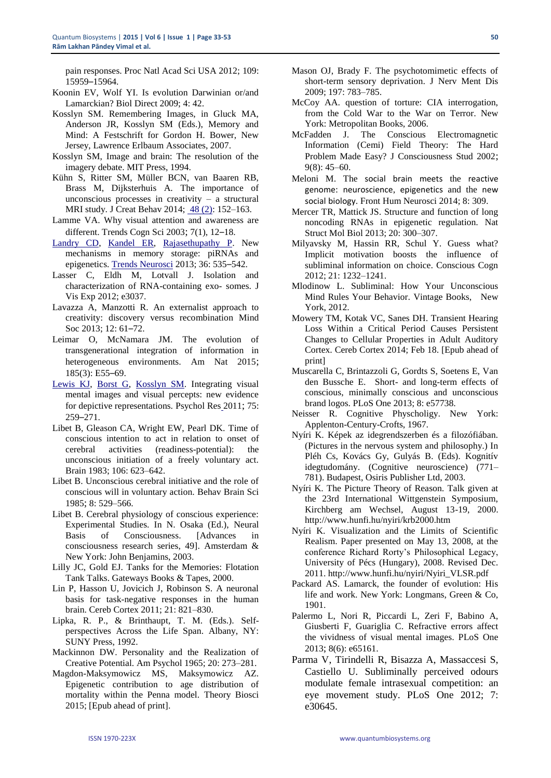pain responses. Proc Natl Acad Sci USA 2012; 109: 15959–15964.

- Koonin EV, Wolf YI. Is evolution Darwinian or/and Lamarckian? Biol Direct 2009; 4: 42.
- Kosslyn SM. Remembering Images, in Gluck MA, Anderson JR, Kosslyn SM (Eds.), Memory and Mind: A Festschrift for Gordon H. Bower, New Jersey, Lawrence Erlbaum Associates, 2007.
- Kosslyn SM, Image and brain: The resolution of the imagery debate. MIT Press, 1994.
- Kühn S, Ritter SM, Müller BCN, van Baaren RB, Brass M, Dijksterhuis A. The importance of unconscious processes in creativity  $-$  a structural MRI study. J Creat Behav 2014; [48 \(2\):](http://onlinelibrary.wiley.com/doi/10.1111/jocb.2014.48.issue-2/issuetoc) 152–163.
- Lamme VA. Why visual attention and awareness are different. Trends Cogn Sci 2003; 7(1), 12–18.
- [Landry CD,](http://www.ncbi.nlm.nih.gov/pubmed?term=Landry%20CD%5BAuthor%5D&cauthor=true&cauthor_uid=23827695) [Kandel ER,](http://www.ncbi.nlm.nih.gov/pubmed?term=Kandel%20ER%5BAuthor%5D&cauthor=true&cauthor_uid=23827695) [Rajasethupathy P.](http://www.ncbi.nlm.nih.gov/pubmed?term=Rajasethupathy%20P%5BAuthor%5D&cauthor=true&cauthor_uid=23827695) New mechanisms in memory storage: piRNAs and epigenetics. [Trends Neurosci](http://www.ncbi.nlm.nih.gov/pubmed/23827695) 2013; 36: 535–542.
- Lasser C, Eldh M, Lotvall J. Isolation and characterization of RNA-containing exo- somes. J Vis Exp 2012; e3037.
- Lavazza A, Manzotti R. An externalist approach to creativity: discovery versus recombination Mind Soc 2013; 12: 61–72.
- Leimar O, McNamara JM. The evolution of transgenerational integration of information in heterogeneous environments. Am Nat 2015; 185(3): E55–69.
- [Lewis KJ,](http://www.ncbi.nlm.nih.gov/pubmed?term=%22Lewis%20KJ%22%5BAuthor%5D) [Borst G,](http://www.ncbi.nlm.nih.gov/pubmed?term=%22Borst%20G%22%5BAuthor%5D) [Kosslyn SM.](http://www.ncbi.nlm.nih.gov/pubmed?term=%22Kosslyn%20SM%22%5BAuthor%5D) Integrating visual mental images and visual percepts: new evidence for depictive representations. Psychol Res 2011; 75: 259–271.
- Libet B, Gleason CA, Wright EW, Pearl DK. Time of conscious intention to act in relation to onset of cerebral activities (readiness-potential): the unconscious initiation of a freely voluntary act. Brain 1983; 106: 623–642.
- Libet B. Unconscious cerebral initiative and the role of conscious will in voluntary action. Behav Brain Sci 1985; 8: 529–566.
- Libet B. Cerebral physiology of conscious experience: Experimental Studies. In N. Osaka (Ed.), Neural Basis of Consciousness. [Advances in consciousness research series, 49]. Amsterdam & New York: John Benjamins, 2003.
- Lilly JC, Gold EJ. Tanks for the Memories: Flotation Tank Talks. Gateways Books & Tapes, 2000.
- Lin P, Hasson U, Jovicich J, Robinson S. A neuronal basis for task-negative responses in the human brain. Cereb Cortex 2011; 21: 821–830.
- Lipka, R. P., & Brinthaupt, T. M. (Eds.). Selfperspectives Across the Life Span. Albany, NY: SUNY Press, 1992.
- Mackinnon DW. Personality and the Realization of Creative Potential. Am Psychol 1965; 20: 273–281.
- Magdon-Maksymowicz MS, Maksymowicz AZ. Epigenetic contribution to age distribution of mortality within the Penna model. Theory Biosci 2015; [Epub ahead of print].
- Mason OJ, Brady F. The psychotomimetic effects of short-term sensory deprivation. J Nerv Ment Dis 2009; 197: 783–785.
- McCoy AA. question of torture: CIA interrogation, from the Cold War to the War on Terror. New York: Metropolitan Books, 2006.
- McFadden J. The Conscious Electromagnetic Information (Cemi) Field Theory: The Hard Problem Made Easy? J Consciousness Stud 2002; 9(8): 45–60.
- [Meloni M.](http://www.ncbi.nlm.nih.gov/pubmed?term=Meloni%20M%5BAuthor%5D&cauthor=true&cauthor_uid=24904353) The social brain meets the reactive genome: neuroscience, epigenetics and the new social biology. [Front Hum Neurosci](http://www.ncbi.nlm.nih.gov/pubmed/?term=The+social+brain+meets+the+reactive+genome%3A+neuroscience%2C+epigenetics+and+the+new+social+biology) 2014; 8: 309.
- Mercer TR, Mattick JS. Structure and function of long noncoding RNAs in epigenetic regulation. Nat Struct Mol Biol 2013; 20: 300–307.
- Milyavsky M, Hassin RR, Schul Y. Guess what? Implicit motivation boosts the influence of subliminal information on choice. Conscious Cogn 2012; 21: 1232–1241.
- Mlodinow L. Subliminal: How Your Unconscious Mind Rules Your Behavior. Vintage Books, New York, 2012.
- Mowery TM, Kotak VC, Sanes DH. Transient Hearing Loss Within a Critical Period Causes Persistent Changes to Cellular Properties in Adult Auditory Cortex. Cereb Cortex 2014; Feb 18. [Epub ahead of print]
- Muscarella C, Brintazzoli G, Gordts S, Soetens E, Van den Bussche E. Short- and long-term effects of conscious, minimally conscious and unconscious brand logos. PLoS One 2013; 8: e57738.
- Neisser R. Cognitive Physcholigy. New York: Applenton-Century-Crofts, 1967.
- Nyíri K. Képek az idegrendszerben és a filozófiában. (Pictures in the nervous system and philosophy.) In Pléh Cs, Kovács Gy, Gulyás B. (Eds). Kognitív idegtudomány. (Cognitive neuroscience) (771– 781). Budapest, Osiris Publisher Ltd, 2003.
- Nyíri K. The Picture Theory of Reason. Talk given at the 23rd International Wittgenstein Symposium, Kirchberg am Wechsel, August 13-19, 2000. http://www.hunfi.hu/nyiri/krb2000.htm
- Nyíri K. Visualization and the Limits of Scientific Realism. Paper presented on May 13, 2008, at the conference Richard Rorty's Philosophical Legacy, University of Pécs (Hungary), 2008. Revised Dec. 2011. http://www.hunfi.hu/nyiri/Nyiri\_VLSR.pdf
- Packard AS. Lamarck, the founder of evolution: His life and work. New York: Longmans, Green & Co, 1901.
- [Palermo L,](http://www.ncbi.nlm.nih.gov/pubmed?term=Palermo%20L%5BAuthor%5D&cauthor=true&cauthor_uid=23755186) [Nori R,](http://www.ncbi.nlm.nih.gov/pubmed?term=Nori%20R%5BAuthor%5D&cauthor=true&cauthor_uid=23755186) [Piccardi L,](http://www.ncbi.nlm.nih.gov/pubmed?term=Piccardi%20L%5BAuthor%5D&cauthor=true&cauthor_uid=23755186) [Zeri F,](http://www.ncbi.nlm.nih.gov/pubmed?term=Zeri%20F%5BAuthor%5D&cauthor=true&cauthor_uid=23755186) [Babino A,](http://www.ncbi.nlm.nih.gov/pubmed?term=Babino%20A%5BAuthor%5D&cauthor=true&cauthor_uid=23755186) [Giusberti F,](http://www.ncbi.nlm.nih.gov/pubmed?term=Giusberti%20F%5BAuthor%5D&cauthor=true&cauthor_uid=23755186) [Guariglia C.](http://www.ncbi.nlm.nih.gov/pubmed?term=Guariglia%20C%5BAuthor%5D&cauthor=true&cauthor_uid=23755186) Refractive errors affect the vividness of visual mental images. [PLoS One](http://www.ncbi.nlm.nih.gov/pubmed/23755186) 2013; 8(6): e65161.
- Parma V, Tirindelli R, Bisazza A, Massaccesi S, Castiello U. Subliminally perceived odours modulate female intrasexual competition: an eye movement study. PLoS One 2012; 7: e30645.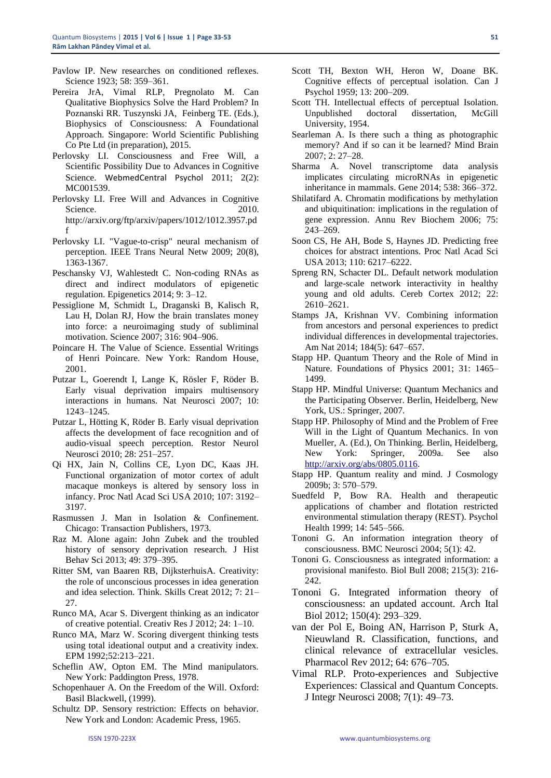- Pavlow IP. New researches on conditioned reflexes. Science 1923; 58: 359–361.
- Pereira JrA, Vimal RLP, Pregnolato M. Can Qualitative Biophysics Solve the Hard Problem? In Poznanski RR. Tuszynski JA, Feinberg TE. (Eds.), Biophysics of Consciousness: A Foundational Approach. Singapore: World Scientific Publishing Co Pte Ltd (in preparation), 2015.
- Perlovsky LI. Consciousness and Free Will, a Scientific Possibility Due to Advances in Cognitive Science. WebmedCentral Psychol 2011; 2(2): MC001539.
- Perlovsky LI. Free Will and Advances in Cognitive Science. 2010. http://arxiv.org/ftp/arxiv/papers/1012/1012.3957.pd f
- Perlovsky LI. "Vague-to-crisp" neural mechanism of perception. IEEE Trans Neural Netw 2009; 20(8), 1363-1367.
- Peschansky VJ, Wahlestedt C. Non-coding RNAs as direct and indirect modulators of epigenetic regulation. Epigenetics 2014; 9: 3–12.
- Pessiglione M, Schmidt L, Draganski B, Kalisch R, Lau H, Dolan RJ, How the brain translates money into force: a neuroimaging study of subliminal motivation. Science 2007; 316: 904–906.
- Poincare H. The Value of Science. Essential Writings of Henri Poincare. New York: Random House, 2001.
- Putzar L, Goerendt I, Lange K, Rösler F, Röder B. Early visual deprivation impairs multisensory interactions in humans. Nat Neurosci 2007; 10: 1243–1245.
- Putzar L, Hötting K, Röder B. Early visual deprivation affects the development of face recognition and of audio-visual speech perception. Restor Neurol Neurosci 2010; 28: 251–257.
- Qi HX, Jain N, Collins CE, Lyon DC, Kaas JH. Functional organization of motor cortex of adult macaque monkeys is altered by sensory loss in infancy. Proc Natl Acad Sci USA 2010; 107: 3192– 3197.
- Rasmussen J. Man in Isolation & Confinement. Chicago: Transaction Publishers, 1973.
- Raz M. Alone again: John Zubek and the troubled history of sensory deprivation research. J Hist Behav Sci 2013; 49: 379–395.
- Ritter SM, van Baaren RB, DijksterhuisA. Creativity: the role of unconscious processes in idea generation and idea selection. Think. Skills Creat 2012; 7: 21– 27.
- Runco MA, Acar S. Divergent thinking as an indicator of creative potential. Creativ Res J 2012; 24: 1–10.
- Runco MA, Marz W. Scoring divergent thinking tests using total ideational output and a creativity index. EPM 1992;52:213–221.
- Scheflin AW, Opton EM. The Mind manipulators. New York: Paddington Press, 1978.
- Schopenhauer A. On the Freedom of the Will. Oxford: Basil Blackwell, (1999).
- Schultz DP. Sensory restriction: Effects on behavior. New York and London: Academic Press, 1965.
- Scott TH, Bexton WH, Heron W, Doane BK. Cognitive effects of perceptual isolation. Can J Psychol 1959; 13: 200–209.
- Scott TH. Intellectual effects of perceptual Isolation. Unpublished doctoral dissertation, McGill University, 1954.
- Searleman A. Is there such a thing as photographic memory? And if so can it be learned? Mind Brain 2007; 2: 27–28.
- Sharma A. Novel transcriptome data analysis implicates circulating microRNAs in epigenetic inheritance in mammals. Gene 2014; 538: 366–372.
- Shilatifard A. Chromatin modifications by methylation and ubiquitination: implications in the regulation of gene expression. Annu Rev Biochem 2006; 75: 243–269.
- Soon CS, He AH, Bode S, Haynes JD. Predicting free choices for abstract intentions. Proc Natl Acad Sci USA 2013; 110: 6217–6222.
- Spreng RN, Schacter DL. Default network modulation and large-scale network interactivity in healthy young and old adults. Cereb Cortex 2012; 22: 2610–2621.
- Stamps JA, Krishnan VV. Combining information from ancestors and personal experiences to predict individual differences in developmental trajectories. Am Nat 2014; 184(5): 647–657.
- Stapp HP. Quantum Theory and the Role of Mind in Nature. Foundations of Physics 2001; 31: 1465– 1499.
- Stapp HP. Mindful Universe: Quantum Mechanics and the Participating Observer. Berlin, Heidelberg, New York, US.: Springer, 2007.
- Stapp HP. Philosophy of Mind and the Problem of Free Will in the Light of Quantum Mechanics. In von Mueller, A. (Ed.), On Thinking. Berlin, Heidelberg, New York: Springer, 2009a. See also [http://arxiv.org/abs/0805.0116.](http://arxiv.org/abs/0805.0116)
- Stapp HP. Quantum reality and mind. J Cosmology 2009b; 3: 570–579.
- Suedfeld P, Bow RA. Health and therapeutic applications of chamber and flotation restricted environmental stimulation therapy (REST). Psychol Health 1999; 14: 545–566.
- Tononi G. An information integration theory of consciousness. BMC Neurosci 2004; 5(1): 42.
- Tononi G. Consciousness as integrated information: a provisional manifesto. Biol Bull 2008; 215(3): 216- 242.
- Tononi G. Integrated information theory of consciousness: an updated account. Arch Ital Biol 2012; 150(4): 293–329.
- van der Pol E, Boing AN, Harrison P, Sturk A, Nieuwland R. Classification, functions, and clinical relevance of extracellular vesicles. Pharmacol Rev 2012; 64: 676–705.
- Vimal RLP. Proto-experiences and Subjective Experiences: Classical and Quantum Concepts. J Integr Neurosci 2008; 7(1): 49–73.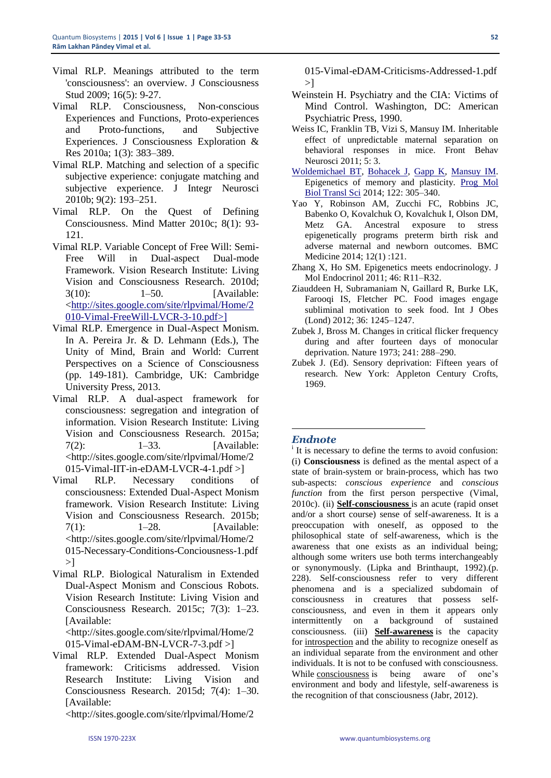- Vimal RLP. Meanings attributed to the term 'consciousness': an overview. J Consciousness Stud 2009; 16(5): 9-27.
- Vimal RLP. Consciousness, Non-conscious Experiences and Functions, Proto-experiences and Proto-functions, and Subjective Experiences. J Consciousness Exploration & Res 2010a; 1(3): 383–389.
- Vimal RLP. Matching and selection of a specific subjective experience: conjugate matching and subjective experience. J Integr Neurosci 2010b; 9(2): 193–251.
- Vimal RLP. On the Quest of Defining Consciousness. Mind Matter 2010c; 8(1): 93- 121.
- Vimal RLP. Variable Concept of Free Will: Semi-Free Will in Dual-aspect Dual-mode Framework. Vision Research Institute: Living Vision and Consciousness Research. 2010d; 3(10): 1–50. [Available: [<http://sites.google.com/site/rlpvimal/Home/2](http://sites.google.com/site/rlpvimal/Home/2010-Vimal-FreeWill-LVCR-3-10.pdf%3e%5d) [010-Vimal-FreeWill-LVCR-3-10.pdf>\]](http://sites.google.com/site/rlpvimal/Home/2010-Vimal-FreeWill-LVCR-3-10.pdf%3e%5d)
- Vimal RLP. Emergence in Dual-Aspect Monism. In A. Pereira Jr. & D. Lehmann (Eds.), The Unity of Mind, Brain and World: Current Perspectives on a Science of Consciousness (pp. 149-181). Cambridge, UK: Cambridge University Press, 2013.
- Vimal RLP. A dual-aspect framework for consciousness: segregation and integration of information. Vision Research Institute: Living Vision and Consciousness Research. 2015a; 7(2): 1–33. [Available: <http://sites.google.com/site/rlpvimal/Home/2 015-Vimal-IIT-in-eDAM-LVCR-4-1.pdf >]
- Vimal RLP. Necessary conditions of consciousness: Extended Dual-Aspect Monism framework. Vision Research Institute: Living Vision and Consciousness Research. 2015b; 7(1): 1–28. [Available: <http://sites.google.com/site/rlpvimal/Home/2 015-Necessary-Conditions-Conciousness-1.pdf  $>1$
- Vimal RLP. Biological Naturalism in Extended Dual-Aspect Monism and Conscious Robots. Vision Research Institute: Living Vision and Consciousness Research. 2015c; 7(3): 1–23. [Available: <http://sites.google.com/site/rlpvimal/Home/2

015-Vimal-eDAM-BN-LVCR-7-3.pdf >]

Vimal RLP. Extended Dual-Aspect Monism framework: Criticisms addressed. Vision Research Institute: Living Vision and Consciousness Research. 2015d; 7(4): 1–30. [Available:

<http://sites.google.com/site/rlpvimal/Home/2

015-Vimal-eDAM-Criticisms-Addressed-1.pdf  $>1$ 

- Weinstein H. Psychiatry and the CIA: Victims of Mind Control. Washington, DC: American Psychiatric Press, 1990.
- Weiss IC, Franklin TB, Vizi S, Mansuy IM. [Inheritable](http://www.ncbi.nlm.nih.gov/pubmed/21331159)  [effect of unpredictable maternal separation on](http://www.ncbi.nlm.nih.gov/pubmed/21331159)  [behavioral responses in mice.](http://www.ncbi.nlm.nih.gov/pubmed/21331159) Front Behav Neurosci 2011; 5: 3.
- [Woldemichael BT,](http://www.ncbi.nlm.nih.gov/pubmed?term=Woldemichael%20BT%5BAuthor%5D&cauthor=true&cauthor_uid=24484706) [Bohacek J,](http://www.ncbi.nlm.nih.gov/pubmed?term=Bohacek%20J%5BAuthor%5D&cauthor=true&cauthor_uid=24484706) [Gapp K,](http://www.ncbi.nlm.nih.gov/pubmed?term=Gapp%20K%5BAuthor%5D&cauthor=true&cauthor_uid=24484706) [Mansuy IM.](http://www.ncbi.nlm.nih.gov/pubmed?term=Mansuy%20IM%5BAuthor%5D&cauthor=true&cauthor_uid=24484706) Epigenetics of memory and plasticity. [Prog Mol](http://www.ncbi.nlm.nih.gov/pubmed/24484706)  [Biol Transl Sci](http://www.ncbi.nlm.nih.gov/pubmed/24484706) 2014; 122: 305–340.
- Yao Y, Robinson AM, Zucchi FC, Robbins JC, Babenko O, Kovalchuk O, Kovalchuk I, Olson DM, Metz GA. Ancestral exposure to stress epigenetically programs preterm birth risk and adverse maternal and newborn outcomes. BMC Medicine 2014; 12(1) :121.
- Zhang X, Ho SM. Epigenetics meets endocrinology. J Mol Endocrinol 2011; 46: R11–R32.
- Ziauddeen H, Subramaniam N, Gaillard R, Burke LK, Farooqi IS, Fletcher PC. Food images engage subliminal motivation to seek food. Int J Obes (Lond) 2012; 36: 1245–1247.
- Zubek J, Bross M. Changes in critical flicker frequency during and after fourteen days of monocular deprivation. Nature 1973; 241: 288–290.
- Zubek J. (Ed). Sensory deprivation: Fifteen years of research. New York: Appleton Century Crofts, 1969.

#### *Endnote*

**.** 

i It is necessary to define the terms to avoid confusion: (i) **Consciousness** is defined as the mental aspect of a state of brain-system or brain-process, which has two sub-aspects: *conscious experience* and *conscious function* from the first person perspective (Vimal, 2010c). (ii) **[Self-consciousness](http://en.wikipedia.org/wiki/Self-consciousness)** is an acute (rapid onset and/or a short course) sense of self-awareness. It is a preoccupation with oneself, as opposed to the philosophical state of self-awareness, which is the awareness that one exists as an individual being; although some writers use both terms interchangeably or synonymously. (Lipka and Brinthaupt, 1992).(p. 228). Self-consciousness refer to very different phenomena and is a specialized subdomain of consciousness in creatures that possess selfconsciousness, and even in them it appears only intermittently on a background of sustained consciousness. (iii) **[Self-awareness](http://en.wikipedia.org/wiki/Self-awareness)** is the capacity for [introspection](http://en.wikipedia.org/wiki/Introspection) and the ability to recognize oneself as an individual separate from the environment and other individuals. It is not to be confused with consciousness. While [consciousness](http://en.wikipedia.org/wiki/Consciousness) is being aware of one's environment and body and lifestyle, self-awareness is the recognition of that consciousness (Jabr, 2012).